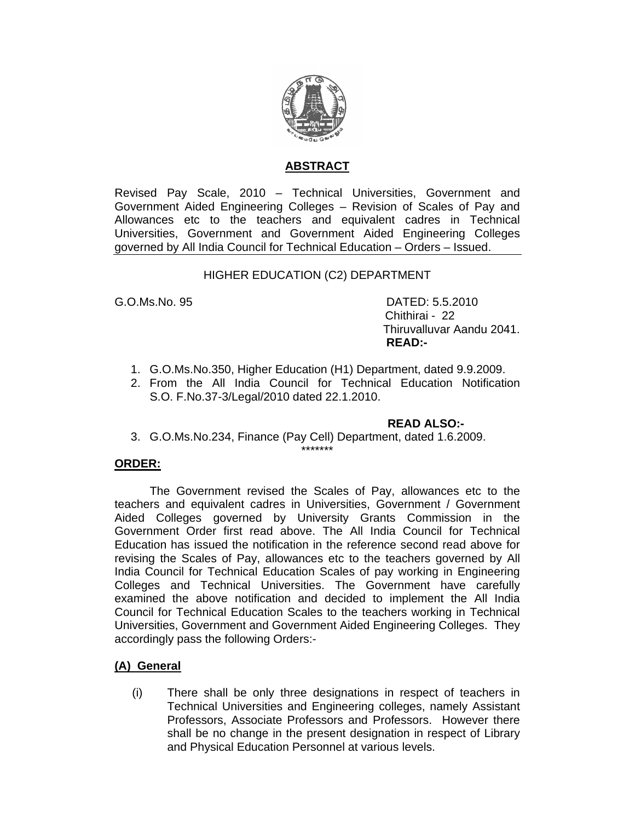

### **ABSTRACT**

Revised Pay Scale, 2010 – Technical Universities, Government and Government Aided Engineering Colleges – Revision of Scales of Pay and Allowances etc to the teachers and equivalent cadres in Technical Universities, Government and Government Aided Engineering Colleges governed by All India Council for Technical Education – Orders – Issued.

#### HIGHER EDUCATION (C2) DEPARTMENT

G.O.Ms.No. 95 DATED: 5.5.2010 Chithirai - 22 Thiruvalluvar Aandu 2041. **READ:-** 

- 1. G.O.Ms.No.350, Higher Education (H1) Department, dated 9.9.2009.
- 2. From the All India Council for Technical Education Notification S.O. F.No.37-3/Legal/2010 dated 22.1.2010.

#### **READ ALSO:-**

3. G.O.Ms.No.234, Finance (Pay Cell) Department, dated 1.6.2009.

\*\*\*\*\*\*\*

#### **ORDER:**

 The Government revised the Scales of Pay, allowances etc to the teachers and equivalent cadres in Universities, Government / Government Aided Colleges governed by University Grants Commission in the Government Order first read above. The All India Council for Technical Education has issued the notification in the reference second read above for revising the Scales of Pay, allowances etc to the teachers governed by All India Council for Technical Education Scales of pay working in Engineering Colleges and Technical Universities. The Government have carefully examined the above notification and decided to implement the All India Council for Technical Education Scales to the teachers working in Technical Universities, Government and Government Aided Engineering Colleges. They accordingly pass the following Orders:-

#### **(A) General**

(i) There shall be only three designations in respect of teachers in Technical Universities and Engineering colleges, namely Assistant Professors, Associate Professors and Professors. However there shall be no change in the present designation in respect of Library and Physical Education Personnel at various levels.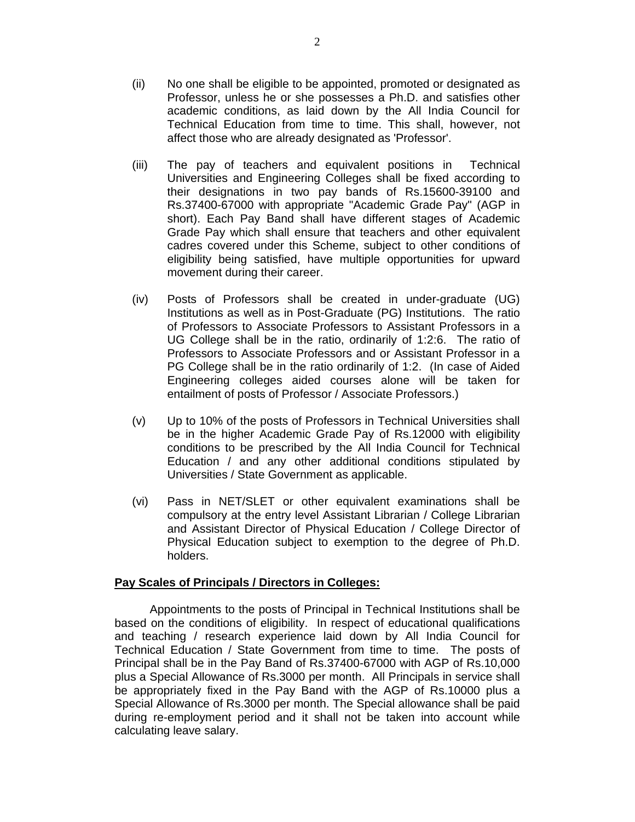- (ii) No one shall be eligible to be appointed, promoted or designated as Professor, unless he or she possesses a Ph.D. and satisfies other academic conditions, as laid down by the All India Council for Technical Education from time to time. This shall, however, not affect those who are already designated as 'Professor'.
- (iii) The pay of teachers and equivalent positions in Technical Universities and Engineering Colleges shall be fixed according to their designations in two pay bands of Rs.15600-39100 and Rs.37400-67000 with appropriate "Academic Grade Pay" (AGP in short). Each Pay Band shall have different stages of Academic Grade Pay which shall ensure that teachers and other equivalent cadres covered under this Scheme, subject to other conditions of eligibility being satisfied, have multiple opportunities for upward movement during their career.
- (iv) Posts of Professors shall be created in under-graduate (UG) Institutions as well as in Post-Graduate (PG) Institutions. The ratio of Professors to Associate Professors to Assistant Professors in a UG College shall be in the ratio, ordinarily of 1:2:6. The ratio of Professors to Associate Professors and or Assistant Professor in a PG College shall be in the ratio ordinarily of 1:2. (In case of Aided Engineering colleges aided courses alone will be taken for entailment of posts of Professor / Associate Professors.)
- (v) Up to 10% of the posts of Professors in Technical Universities shall be in the higher Academic Grade Pay of Rs.12000 with eligibility conditions to be prescribed by the All India Council for Technical Education / and any other additional conditions stipulated by Universities / State Government as applicable.
- (vi) Pass in NET/SLET or other equivalent examinations shall be compulsory at the entry level Assistant Librarian / College Librarian and Assistant Director of Physical Education / College Director of Physical Education subject to exemption to the degree of Ph.D. holders.

#### **Pay Scales of Principals / Directors in Colleges:**

Appointments to the posts of Principal in Technical Institutions shall be based on the conditions of eligibility. In respect of educational qualifications and teaching / research experience laid down by All India Council for Technical Education / State Government from time to time. The posts of Principal shall be in the Pay Band of Rs.37400-67000 with AGP of Rs.10,000 plus a Special Allowance of Rs.3000 per month. All Principals in service shall be appropriately fixed in the Pay Band with the AGP of Rs.10000 plus a Special Allowance of Rs.3000 per month. The Special allowance shall be paid during re-employment period and it shall not be taken into account while calculating leave salary.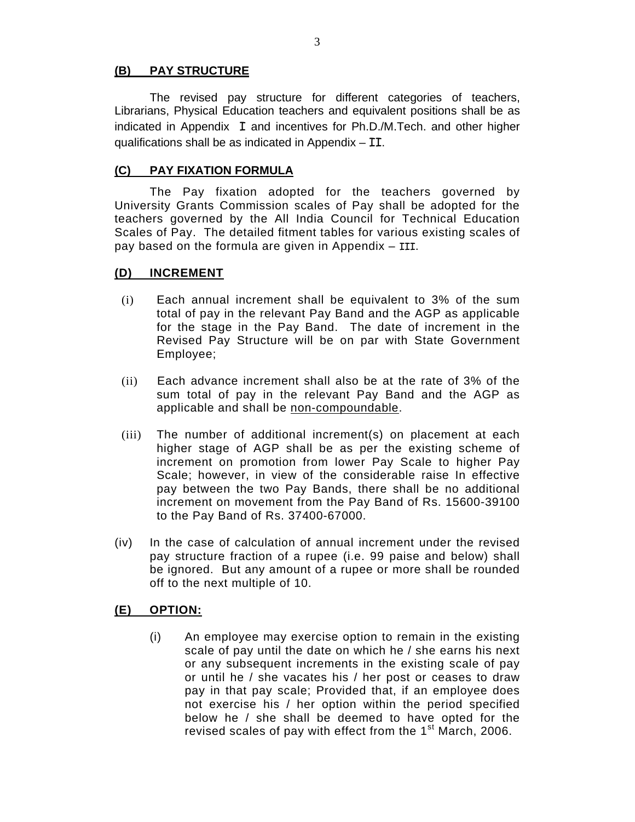#### **(B) PAY STRUCTURE**

 The revised pay structure for different categories of teachers, Librarians, Physical Education teachers and equivalent positions shall be as indicated in Appendix I and incentives for Ph.D./M.Tech. and other higher qualifications shall be as indicated in Appendix  $-$  II.

#### **(C) PAY FIXATION FORMULA**

The Pay fixation adopted for the teachers governed by University Grants Commission scales of Pay shall be adopted for the teachers governed by the All India Council for Technical Education Scales of Pay. The detailed fitment tables for various existing scales of pay based on the formula are given in Appendix – III.

#### **(D) INCREMENT**

- (i) Each annual increment shall be equivalent to 3% of the sum total of pay in the relevant Pay Band and the AGP as applicable for the stage in the Pay Band. The date of increment in the Revised Pay Structure will be on par with State Government Employee;
- (ii) Each advance increment shall also be at the rate of 3% of the sum total of pay in the relevant Pay Band and the AGP as applicable and shall be non-compoundable.
- (iii) The number of additional increment(s) on placement at each higher stage of AGP shall be as per the existing scheme of increment on promotion from lower Pay Scale to higher Pay Scale; however, in view of the considerable raise In effective pay between the two Pay Bands, there shall be no additional increment on movement from the Pay Band of Rs. 15600-39100 to the Pay Band of Rs. 37400-67000.
- (iv) In the case of calculation of annual increment under the revised pay structure fraction of a rupee (i.e. 99 paise and below) shall be ignored. But any amount of a rupee or more shall be rounded off to the next multiple of 10.

#### **(E) OPTION:**

(i) An employee may exercise option to remain in the existing scale of pay until the date on which he / she earns his next or any subsequent increments in the existing scale of pay or until he / she vacates his / her post or ceases to draw pay in that pay scale; Provided that, if an employee does not exercise his / her option within the period specified below he / she shall be deemed to have opted for the revised scales of pay with effect from the  $1<sup>st</sup>$  March, 2006.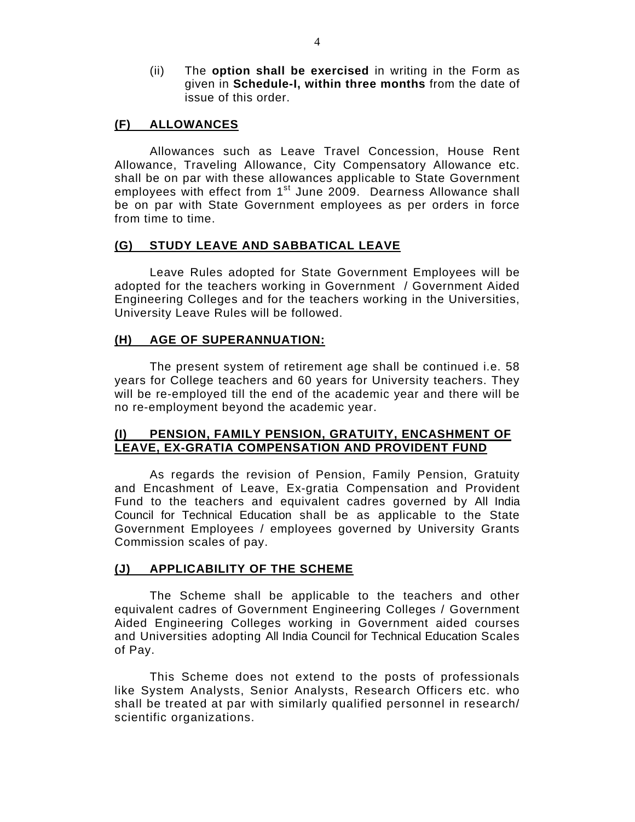(ii) The **option shall be exercised** in writing in the Form as given in **Schedule-I, within three months** from the date of issue of this order.

#### **(F) ALLOWANCES**

Allowances such as Leave Travel Concession, House Rent Allowance, Traveling Allowance, City Compensatory Allowance etc. shall be on par with these allowances applicable to State Government employees with effect from 1<sup>st</sup> June 2009. Dearness Allowance shall be on par with State Government employees as per orders in force from time to time.

#### **(G) STUDY LEAVE AND SABBATICAL LEAVE**

 Leave Rules adopted for State Government Employees will be adopted for the teachers working in Government / Government Aided Engineering Colleges and for the teachers working in the Universities, University Leave Rules will be followed.

#### **(H) AGE OF SUPERANNUATION:**

 The present system of retirement age shall be continued i.e. 58 years for College teachers and 60 years for University teachers. They will be re-employed till the end of the academic year and there will be no re-employment beyond the academic year.

#### **(I) PENSION, FAMILY PENSION, GRATUITY, ENCASHMENT OF LEAVE, EX-GRATIA COMPENSATION AND PROVIDENT FUND**

 As regards the revision of Pension, Family Pension, Gratuity and Encashment of Leave, Ex-gratia Compensation and Provident Fund to the teachers and equivalent cadres governed by All India Council for Technical Education shall be as applicable to the State Government Employees / employees governed by University Grants Commission scales of pay.

#### **(J) APPLICABILITY OF THE SCHEME**

 The Scheme shall be applicable to the teachers and other equivalent cadres of Government Engineering Colleges / Government Aided Engineering Colleges working in Government aided courses and Universities adopting All India Council for Technical Education Scales of Pay.

This Scheme does not extend to the posts of professionals like System Analysts, Senior Analysts, Research Officers etc. who shall be treated at par with similarly qualified personnel in research/ scientific organizations.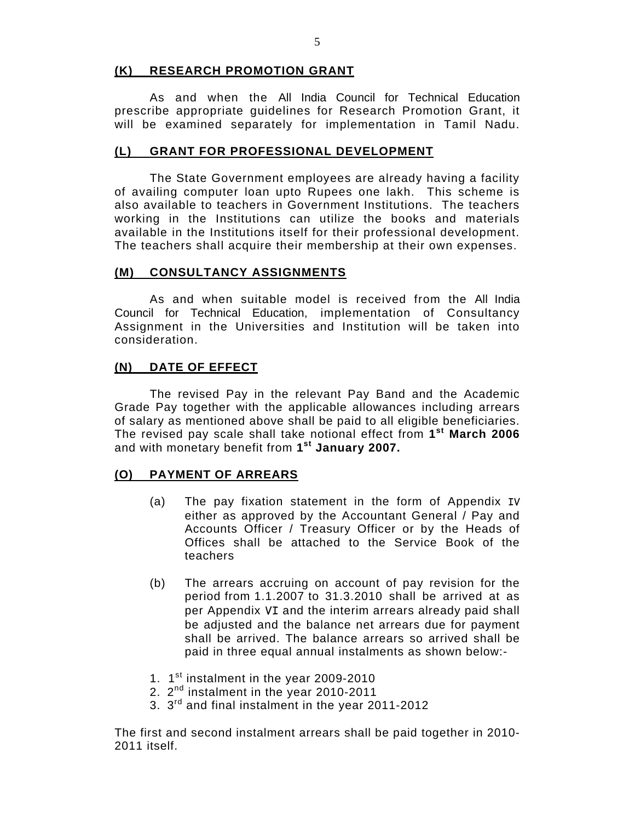#### **(K) RESEARCH PROMOTION GRANT**

 As and when the All India Council for Technical Education prescribe appropriate guidelines for Research Promotion Grant, it will be examined separately for implementation in Tamil Nadu.

#### **(L) GRANT FOR PROFESSIONAL DEVELOPMENT**

 The State Government employees are already having a facility of availing computer loan upto Rupees one lakh. This scheme is also available to teachers in Government Institutions. The teachers working in the Institutions can utilize the books and materials available in the Institutions itself for their professional development. The teachers shall acquire their membership at their own expenses.

#### **(M) CONSULTANCY ASSIGNMENTS**

 As and when suitable model is received from the All India Council for Technical Education, implementation of Consultancy Assignment in the Universities and Institution will be taken into consideration.

#### **(N) DATE OF EFFECT**

The revised Pay in the relevant Pay Band and the Academic Grade Pay together with the applicable allowances including arrears of salary as mentioned above shall be paid to all eligible beneficiaries. The revised pay scale shall take notional effect from **1st March 2006** and with monetary benefit from **1st January 2007.** 

#### **(O) PAYMENT OF ARREARS**

- (a) The pay fixation statement in the form of Appendix IV either as approved by the Accountant General / Pay and Accounts Officer / Treasury Officer or by the Heads of Offices shall be attached to the Service Book of the teachers
- (b) The arrears accruing on account of pay revision for the period from 1.1.2007 to 31.3.2010 shall be arrived at as per Appendix VI and the interim arrears already paid shall be adjusted and the balance net arrears due for payment shall be arrived. The balance arrears so arrived shall be paid in three equal annual instalments as shown below:-
- 1. 1<sup>st</sup> instalment in the year 2009-2010
- 2. 2<sup>nd</sup> instalment in the year 2010-2011
- 3. 3rd and final instalment in the year 2011-2012

The first and second instalment arrears shall be paid together in 2010- 2011 itself.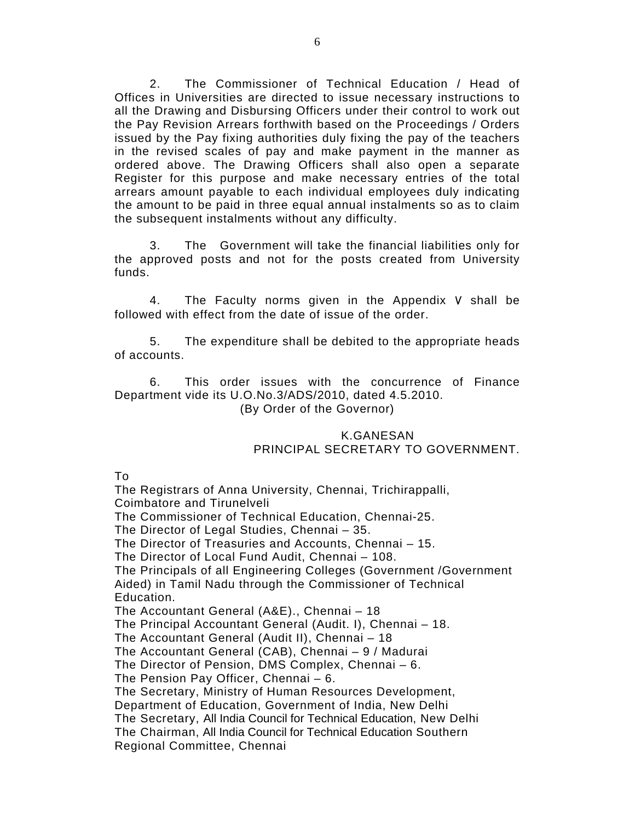2. The Commissioner of Technical Education / Head of Offices in Universities are directed to issue necessary instructions to all the Drawing and Disbursing Officers under their control to work out the Pay Revision Arrears forthwith based on the Proceedings / Orders issued by the Pay fixing authorities duly fixing the pay of the teachers in the revised scales of pay and make payment in the manner as ordered above. The Drawing Officers shall also open a separate Register for this purpose and make necessary entries of the total arrears amount payable to each individual employees duly indicating the amount to be paid in three equal annual instalments so as to claim the subsequent instalments without any difficulty.

 3. The Government will take the financial liabilities only for the approved posts and not for the posts created from University funds.

 4. The Faculty norms given in the Appendix V shall be followed with effect from the date of issue of the order.

 5. The expenditure shall be debited to the appropriate heads of accounts.

 6. This order issues with the concurrence of Finance Department vide its U.O.No.3/ADS/2010, dated 4.5.2010. (By Order of the Governor)

#### K.GANESAN PRINCIPAL SECRETARY TO GOVERNMENT.

To

The Registrars of Anna University, Chennai, Trichirappalli, Coimbatore and Tirunelveli The Commissioner of Technical Education, Chennai-25. The Director of Legal Studies, Chennai – 35. The Director of Treasuries and Accounts, Chennai – 15. The Director of Local Fund Audit, Chennai – 108. The Principals of all Engineering Colleges (Government /Government Aided) in Tamil Nadu through the Commissioner of Technical Education. The Accountant General (A&E)., Chennai – 18 The Principal Accountant General (Audit. I), Chennai – 18. The Accountant General (Audit II), Chennai – 18 The Accountant General (CAB), Chennai – 9 / Madurai The Director of Pension, DMS Complex, Chennai – 6. The Pension Pay Officer, Chennai – 6. The Secretary, Ministry of Human Resources Development, Department of Education, Government of India, New Delhi The Secretary, All India Council for Technical Education, New Delhi The Chairman, All India Council for Technical Education Southern Regional Committee, Chennai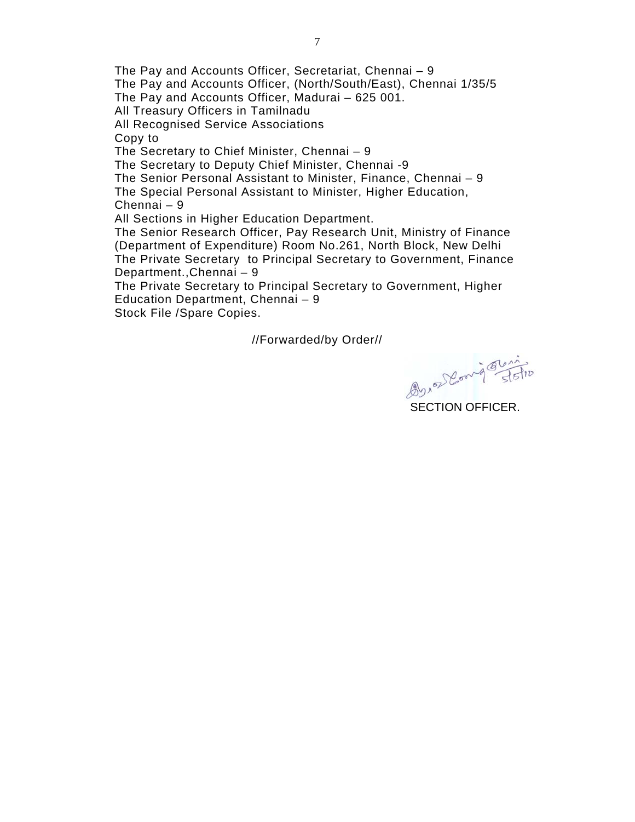The Pay and Accounts Officer, Secretariat, Chennai – 9 The Pay and Accounts Officer, (North/South/East), Chennai 1/35/5 The Pay and Accounts Officer, Madurai – 625 001. All Treasury Officers in Tamilnadu All Recognised Service Associations Copy to The Secretary to Chief Minister, Chennai – 9 The Secretary to Deputy Chief Minister, Chennai -9 The Senior Personal Assistant to Minister, Finance, Chennai – 9 The Special Personal Assistant to Minister, Higher Education, Chennai – 9 All Sections in Higher Education Department. The Senior Research Officer, Pay Research Unit, Ministry of Finance (Department of Expenditure) Room No.261, North Block, New Delhi The Private Secretary to Principal Secretary to Government, Finance Department.,Chennai – 9

The Private Secretary to Principal Secretary to Government, Higher Education Department, Chennai – 9

Stock File /Spare Copies.

//Forwarded/by Order//

2010 Deong That

SECTION OFFICER.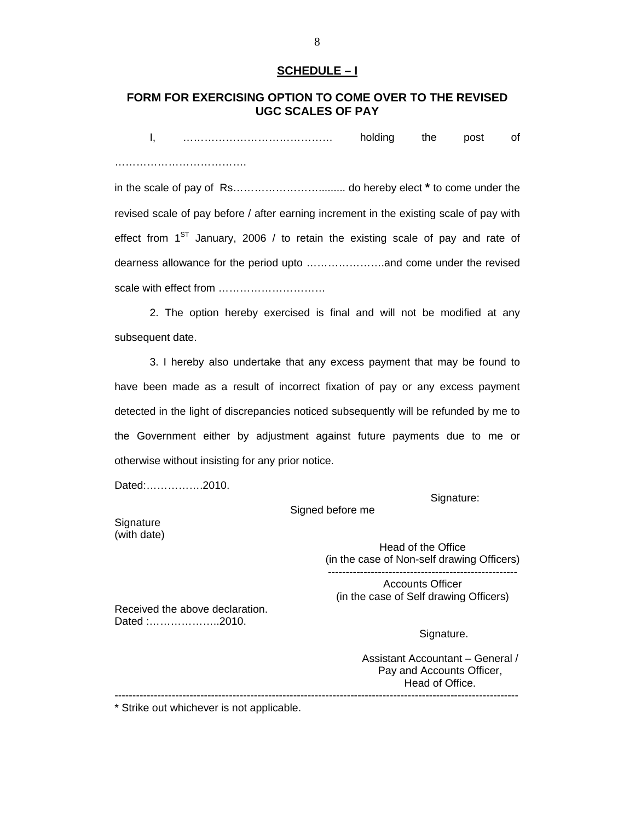#### **SCHEDULE – I**

#### **FORM FOR EXERCISING OPTION TO COME OVER TO THE REVISED UGC SCALES OF PAY**

I, …………………………………… holding the post of ……………………………….

in the scale of pay of Rs……………………......... do hereby elect **\*** to come under the revised scale of pay before / after earning increment in the existing scale of pay with effect from  $1<sup>ST</sup>$  January, 2006 / to retain the existing scale of pay and rate of dearness allowance for the period upto ………………….and come under the revised scale with effect from ................................

2. The option hereby exercised is final and will not be modified at any subsequent date.

3. I hereby also undertake that any excess payment that may be found to have been made as a result of incorrect fixation of pay or any excess payment detected in the light of discrepancies noticed subsequently will be refunded by me to the Government either by adjustment against future payments due to me or otherwise without insisting for any prior notice.

Dated:…………….2010.

Signature:

Signed before me

**Signature** (with date)

> Head of the Office (in the case of Non-self drawing Officers) -----------------------------------------------------

Accounts Officer (in the case of Self drawing Officers)

Received the above declaration. Dated :………………..2010.

Signature.

Assistant Accountant – General / Pay and Accounts Officer, Head of Office. -----------------------------------------------------------------------------------------------------------------

\* Strike out whichever is not applicable.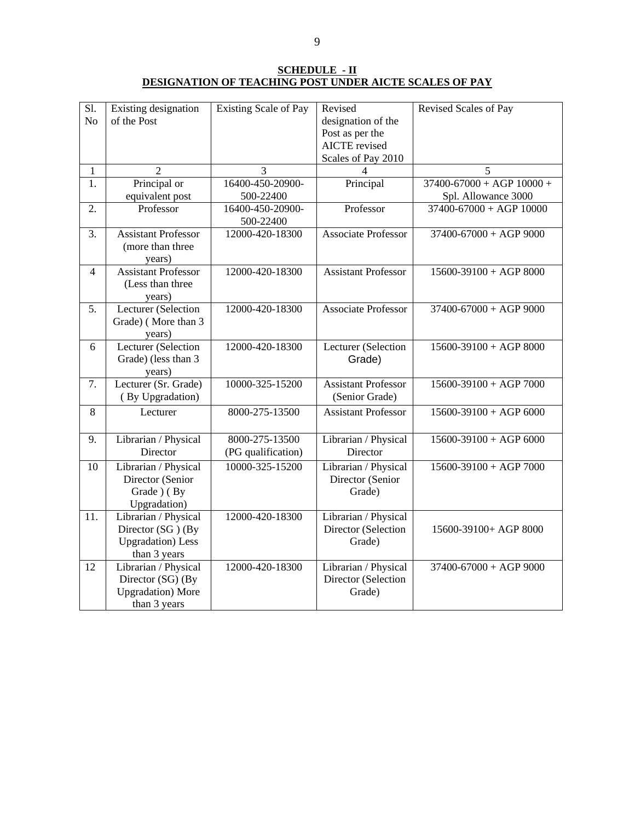**SCHEDULE - II DESIGNATION OF TEACHING POST UNDER AICTE SCALES OF PAY**

| Sl.<br>N <sub>o</sub> | Existing designation<br>of the Post                                                    | <b>Existing Scale of Pay</b>         | Revised<br>designation of the                         | Revised Scales of Pay         |
|-----------------------|----------------------------------------------------------------------------------------|--------------------------------------|-------------------------------------------------------|-------------------------------|
|                       |                                                                                        |                                      | Post as per the                                       |                               |
|                       |                                                                                        |                                      | <b>AICTE</b> revised                                  |                               |
|                       |                                                                                        |                                      | Scales of Pay 2010                                    |                               |
| 1                     | $\overline{2}$                                                                         | 3                                    | 4                                                     | $\overline{5}$                |
| 1.                    | Principal or                                                                           | 16400-450-20900-                     | Principal                                             | $37400 - 67000 + AGP$ 10000 + |
|                       | equivalent post                                                                        | 500-22400                            |                                                       | Spl. Allowance 3000           |
| 2.                    | Professor                                                                              | 16400-450-20900-<br>500-22400        | Professor                                             | $37400 - 67000 + AGP$ 10000   |
| 3.                    | <b>Assistant Professor</b><br>(more than three<br>years)                               | 12000-420-18300                      | <b>Associate Professor</b>                            | $37400 - 67000 + AGP9000$     |
| $\overline{4}$        | <b>Assistant Professor</b><br>(Less than three<br>years)                               | 12000-420-18300                      | <b>Assistant Professor</b>                            | $15600 - 39100 + AGP 8000$    |
| 5.                    | Lecturer (Selection<br>Grade) (More than 3<br>years)                                   | 12000-420-18300                      | Associate Professor                                   | $37400 - 67000 + AGP9000$     |
| 6                     | Lecturer (Selection<br>Grade) (less than 3<br>years)                                   | 12000-420-18300                      | Lecturer (Selection<br>Grade)                         | $15600-39100 + AGP 8000$      |
| 7.                    | Lecturer (Sr. Grade)<br>(By Upgradation)                                               | 10000-325-15200                      | <b>Assistant Professor</b><br>(Senior Grade)          | $15600 - 39100 + AGP 7000$    |
| 8                     | Lecturer                                                                               | 8000-275-13500                       | <b>Assistant Professor</b>                            | $15600 - 39100 + AGP 6000$    |
| 9.                    | Librarian / Physical<br>Director                                                       | 8000-275-13500<br>(PG qualification) | Librarian / Physical<br>Director                      | $15600 - 39100 + AGP 6000$    |
| 10                    | Librarian / Physical<br>Director (Senior<br>Grade ) (By<br>Upgradation)                | 10000-325-15200                      | Librarian / Physical<br>Director (Senior<br>Grade)    | $15600 - 39100 + AGP 7000$    |
| 11.                   | Librarian / Physical<br>Director (SG) (By<br><b>Upgradation</b> ) Less<br>than 3 years | 12000-420-18300                      | Librarian / Physical<br>Director (Selection<br>Grade) | 15600-39100+ AGP 8000         |
| 12                    | Librarian / Physical<br>Director (SG) (By<br><b>Upgradation</b> ) More<br>than 3 years | 12000-420-18300                      | Librarian / Physical<br>Director (Selection<br>Grade) | $37400 - 67000 + AGP9000$     |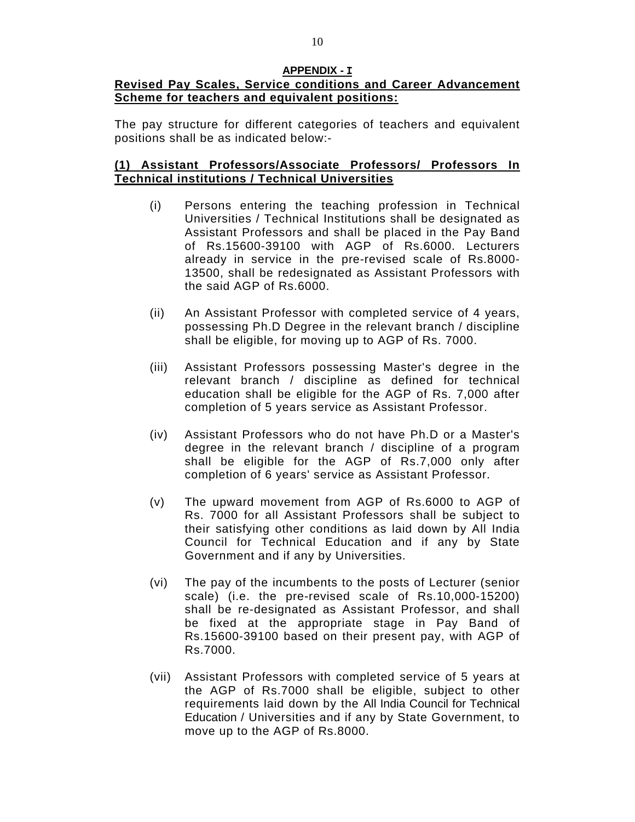#### **APPENDIX - I Revised Pay Scales, Service conditions and Career Advancement Scheme for teachers and equivalent positions:**

The pay structure for different categories of teachers and equivalent positions shall be as indicated below:-

### **(1) Assistant Professors/Associate Professors/ Professors In Technical institutions / Technical Universities**

- (i) Persons entering the teaching profession in Technical Universities / Technical Institutions shall be designated as Assistant Professors and shall be placed in the Pay Band of Rs.15600-39100 with AGP of Rs.6000. Lecturers already in service in the pre-revised scale of Rs.8000- 13500, shall be redesignated as Assistant Professors with the said AGP of Rs.6000.
- (ii) An Assistant Professor with completed service of 4 years, possessing Ph.D Degree in the relevant branch / discipline shall be eligible, for moving up to AGP of Rs. 7000.
- (iii) Assistant Professors possessing Master's degree in the relevant branch / discipline as defined for technical education shall be eligible for the AGP of Rs. 7,000 after completion of 5 years service as Assistant Professor.
- (iv) Assistant Professors who do not have Ph.D or a Master's degree in the relevant branch / discipline of a program shall be eligible for the AGP of Rs.7,000 only after completion of 6 years' service as Assistant Professor.
- (v) The upward movement from AGP of Rs.6000 to AGP of Rs. 7000 for all Assistant Professors shall be subject to their satisfying other conditions as laid down by All India Council for Technical Education and if any by State Government and if any by Universities.
- (vi) The pay of the incumbents to the posts of Lecturer (senior scale) (i.e. the pre-revised scale of Rs.10,000-15200) shall be re-designated as Assistant Professor, and shall be fixed at the appropriate stage in Pay Band of Rs.15600-39100 based on their present pay, with AGP of Rs.7000.
- (vii) Assistant Professors with completed service of 5 years at the AGP of Rs.7000 shall be eligible, subject to other requirements laid down by the All India Council for Technical Education / Universities and if any by State Government, to move up to the AGP of Rs.8000.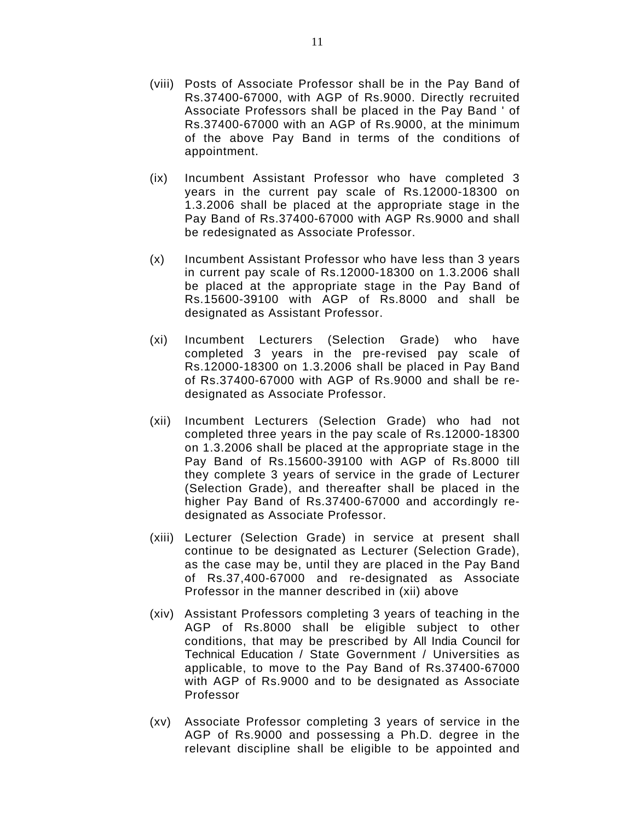- (viii) Posts of Associate Professor shall be in the Pay Band of Rs.37400-67000, with AGP of Rs.9000. Directly recruited Associate Professors shall be placed in the Pay Band ' of Rs.37400-67000 with an AGP of Rs.9000, at the minimum of the above Pay Band in terms of the conditions of appointment.
- (ix) Incumbent Assistant Professor who have completed 3 years in the current pay scale of Rs.12000-18300 on 1.3.2006 shall be placed at the appropriate stage in the Pay Band of Rs.37400-67000 with AGP Rs.9000 and shall be redesignated as Associate Professor.
- (x) Incumbent Assistant Professor who have less than 3 years in current pay scale of Rs.12000-18300 on 1.3.2006 shall be placed at the appropriate stage in the Pay Band of Rs.15600-39100 with AGP of Rs.8000 and shall be designated as Assistant Professor.
- (xi) Incumbent Lecturers (Selection Grade) who have completed 3 years in the pre-revised pay scale of Rs.12000-18300 on 1.3.2006 shall be placed in Pay Band of Rs.37400-67000 with AGP of Rs.9000 and shall be redesignated as Associate Professor.
- (xii) Incumbent Lecturers (Selection Grade) who had not completed three years in the pay scale of Rs.12000-18300 on 1.3.2006 shall be placed at the appropriate stage in the Pay Band of Rs.15600-39100 with AGP of Rs.8000 till they complete 3 years of service in the grade of Lecturer (Selection Grade), and thereafter shall be placed in the higher Pay Band of Rs.37400-67000 and accordingly redesignated as Associate Professor.
- (xiii) Lecturer (Selection Grade) in service at present shall continue to be designated as Lecturer (Selection Grade), as the case may be, until they are placed in the Pay Band of Rs.37,400-67000 and re-designated as Associate Professor in the manner described in (xii) above
- (xiv) Assistant Professors completing 3 years of teaching in the AGP of Rs.8000 shall be eligible subject to other conditions, that may be prescribed by All India Council for Technical Education / State Government / Universities as applicable, to move to the Pay Band of Rs.37400-67000 with AGP of Rs.9000 and to be designated as Associate Professor
- (xv) Associate Professor completing 3 years of service in the AGP of Rs.9000 and possessing a Ph.D. degree in the relevant discipline shall be eligible to be appointed and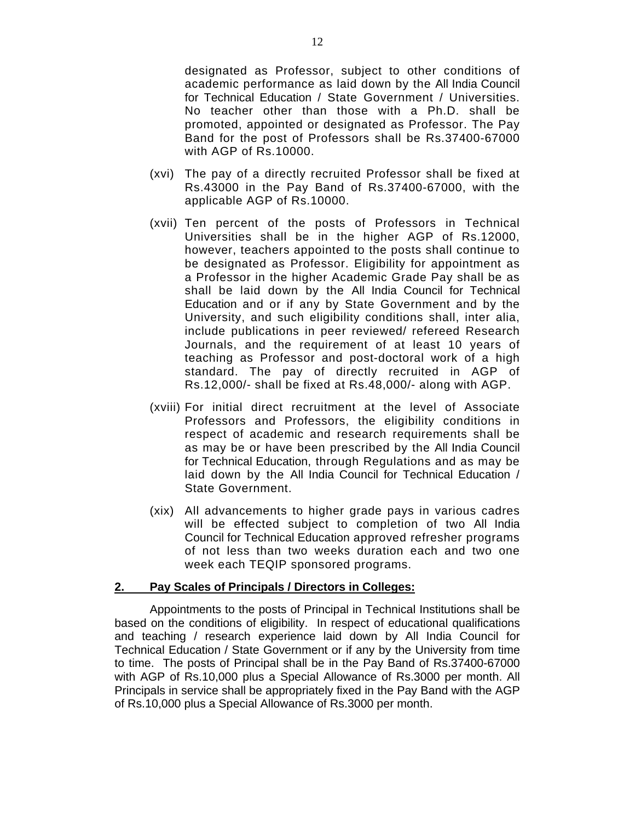designated as Professor, subject to other conditions of academic performance as laid down by the All India Council for Technical Education / State Government / Universities. No teacher other than those with a Ph.D. shall be promoted, appointed or designated as Professor. The Pay Band for the post of Professors shall be Rs.37400-67000 with AGP of Rs.10000.

- (xvi) The pay of a directly recruited Professor shall be fixed at Rs.43000 in the Pay Band of Rs.37400-67000, with the applicable AGP of Rs.10000.
- (xvii) Ten percent of the posts of Professors in Technical Universities shall be in the higher AGP of Rs.12000, however, teachers appointed to the posts shall continue to be designated as Professor. Eligibility for appointment as a Professor in the higher Academic Grade Pay shall be as shall be laid down by the All India Council for Technical Education and or if any by State Government and by the University, and such eligibility conditions shall, inter alia, include publications in peer reviewed/ refereed Research Journals, and the requirement of at least 10 years of teaching as Professor and post-doctoral work of a high standard. The pay of directly recruited in AGP of Rs.12,000/- shall be fixed at Rs.48,000/- along with AGP.
- (xviii) For initial direct recruitment at the level of Associate Professors and Professors, the eligibility conditions in respect of academic and research requirements shall be as may be or have been prescribed by the All India Council for Technical Education, through Regulations and as may be laid down by the All India Council for Technical Education / State Government.
- (xix) All advancements to higher grade pays in various cadres will be effected subject to completion of two All India Council for Technical Education approved refresher programs of not less than two weeks duration each and two one week each TEQIP sponsored programs.

#### **2. Pay Scales of Principals / Directors in Colleges:**

Appointments to the posts of Principal in Technical Institutions shall be based on the conditions of eligibility. In respect of educational qualifications and teaching / research experience laid down by All India Council for Technical Education / State Government or if any by the University from time to time. The posts of Principal shall be in the Pay Band of Rs.37400-67000 with AGP of Rs.10,000 plus a Special Allowance of Rs.3000 per month. All Principals in service shall be appropriately fixed in the Pay Band with the AGP of Rs.10,000 plus a Special Allowance of Rs.3000 per month.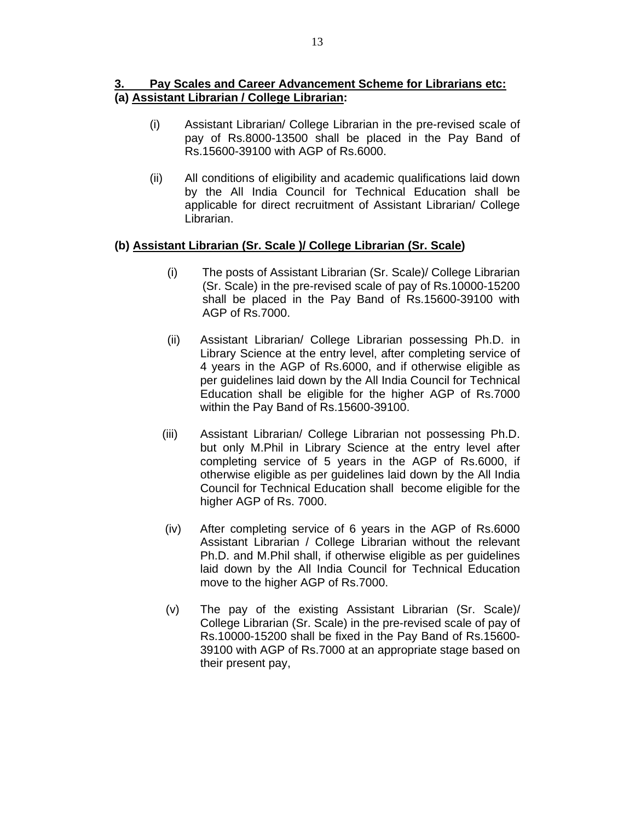### **3. Pay Scales and Career Advancement Scheme for Librarians etc: (a) Assistant Librarian / College Librarian:**

- (i) Assistant Librarian/ College Librarian in the pre-revised scale of pay of Rs.8000-13500 shall be placed in the Pay Band of Rs.15600-39100 with AGP of Rs.6000.
- (ii) All conditions of eligibility and academic qualifications laid down by the All India Council for Technical Education shall be applicable for direct recruitment of Assistant Librarian/ College Librarian.

#### **(b) Assistant Librarian (Sr. Scale )/ College Librarian (Sr. Scale)**

- (i) The posts of Assistant Librarian (Sr. Scale)/ College Librarian (Sr. Scale) in the pre-revised scale of pay of Rs.10000-15200 shall be placed in the Pay Band of Rs.15600-39100 with AGP of Rs.7000.
- (ii) Assistant Librarian/ College Librarian possessing Ph.D. in Library Science at the entry level, after completing service of 4 years in the AGP of Rs.6000, and if otherwise eligible as per guidelines laid down by the All India Council for Technical Education shall be eligible for the higher AGP of Rs.7000 within the Pay Band of Rs.15600-39100.
- (iii) Assistant Librarian/ College Librarian not possessing Ph.D. but only M.Phil in Library Science at the entry level after completing service of 5 years in the AGP of Rs.6000, if otherwise eligible as per guidelines laid down by the All India Council for Technical Education shall become eligible for the higher AGP of Rs. 7000.
- (iv) After completing service of 6 years in the AGP of Rs.6000 Assistant Librarian / College Librarian without the relevant Ph.D. and M.Phil shall, if otherwise eligible as per guidelines laid down by the All India Council for Technical Education move to the higher AGP of Rs.7000.
- (v) The pay of the existing Assistant Librarian (Sr. Scale)/ College Librarian (Sr. Scale) in the pre-revised scale of pay of Rs.10000-15200 shall be fixed in the Pay Band of Rs.15600- 39100 with AGP of Rs.7000 at an appropriate stage based on their present pay,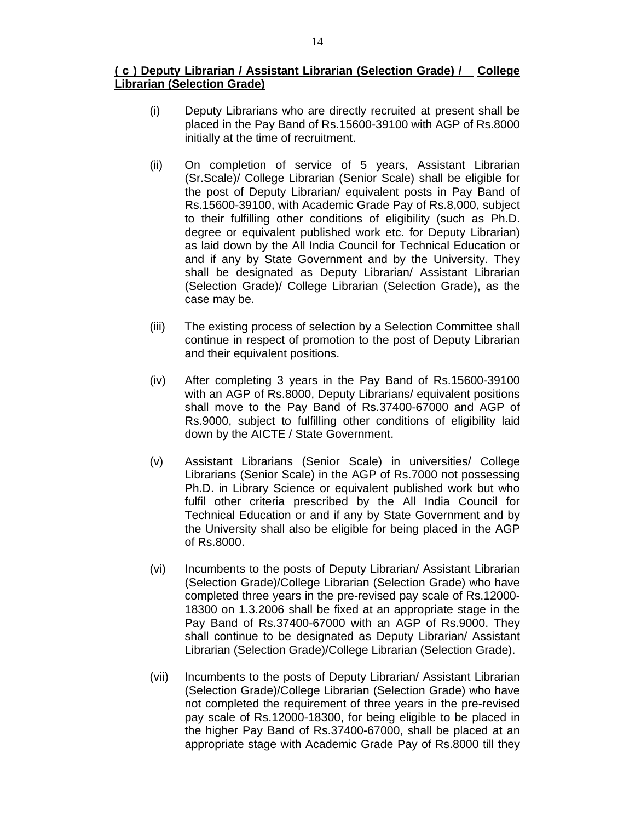#### **( c ) Deputy Librarian / Assistant Librarian (Selection Grade) / College Librarian (Selection Grade)**

- (i) Deputy Librarians who are directly recruited at present shall be placed in the Pay Band of Rs.15600-39100 with AGP of Rs.8000 initially at the time of recruitment.
- (ii) On completion of service of 5 years, Assistant Librarian (Sr.Scale)/ College Librarian (Senior Scale) shall be eligible for the post of Deputy Librarian/ equivalent posts in Pay Band of Rs.15600-39100, with Academic Grade Pay of Rs.8,000, subject to their fulfilling other conditions of eligibility (such as Ph.D. degree or equivalent published work etc. for Deputy Librarian) as laid down by the All India Council for Technical Education or and if any by State Government and by the University. They shall be designated as Deputy Librarian/ Assistant Librarian (Selection Grade)/ College Librarian (Selection Grade), as the case may be.
- (iii) The existing process of selection by a Selection Committee shall continue in respect of promotion to the post of Deputy Librarian and their equivalent positions.
- (iv) After completing 3 years in the Pay Band of Rs.15600-39100 with an AGP of Rs.8000, Deputy Librarians/ equivalent positions shall move to the Pay Band of Rs.37400-67000 and AGP of Rs.9000, subject to fulfilling other conditions of eligibility laid down by the AICTE / State Government.
- (v) Assistant Librarians (Senior Scale) in universities/ College Librarians (Senior Scale) in the AGP of Rs.7000 not possessing Ph.D. in Library Science or equivalent published work but who fulfil other criteria prescribed by the All India Council for Technical Education or and if any by State Government and by the University shall also be eligible for being placed in the AGP of Rs.8000.
- (vi) Incumbents to the posts of Deputy Librarian/ Assistant Librarian (Selection Grade)/College Librarian (Selection Grade) who have completed three years in the pre-revised pay scale of Rs.12000- 18300 on 1.3.2006 shall be fixed at an appropriate stage in the Pay Band of Rs.37400-67000 with an AGP of Rs.9000. They shall continue to be designated as Deputy Librarian/ Assistant Librarian (Selection Grade)/College Librarian (Selection Grade).
- (vii) Incumbents to the posts of Deputy Librarian/ Assistant Librarian (Selection Grade)/College Librarian (Selection Grade) who have not completed the requirement of three years in the pre-revised pay scale of Rs.12000-18300, for being eligible to be placed in the higher Pay Band of Rs.37400-67000, shall be placed at an appropriate stage with Academic Grade Pay of Rs.8000 till they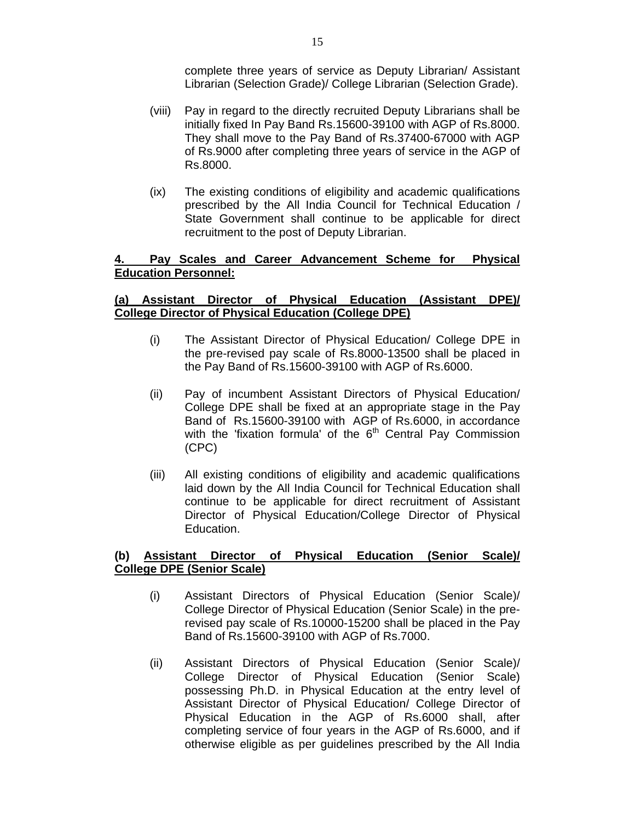complete three years of service as Deputy Librarian/ Assistant Librarian (Selection Grade)/ College Librarian (Selection Grade).

- (viii) Pay in regard to the directly recruited Deputy Librarians shall be initially fixed In Pay Band Rs.15600-39100 with AGP of Rs.8000. They shall move to the Pay Band of Rs.37400-67000 with AGP of Rs.9000 after completing three years of service in the AGP of Rs.8000.
- (ix) The existing conditions of eligibility and academic qualifications prescribed by the All India Council for Technical Education / State Government shall continue to be applicable for direct recruitment to the post of Deputy Librarian.

#### **4. Pay Scales and Career Advancement Scheme for Physical Education Personnel:**

#### **(a) Assistant Director of Physical Education (Assistant DPE)/ College Director of Physical Education (College DPE)**

- (i) The Assistant Director of Physical Education/ College DPE in the pre-revised pay scale of Rs.8000-13500 shall be placed in the Pay Band of Rs.15600-39100 with AGP of Rs.6000.
- (ii) Pay of incumbent Assistant Directors of Physical Education/ College DPE shall be fixed at an appropriate stage in the Pay Band of Rs.15600-39100 with AGP of Rs.6000, in accordance with the 'fixation formula' of the 6<sup>th</sup> Central Pay Commission (CPC)
- (iii) All existing conditions of eligibility and academic qualifications laid down by the All India Council for Technical Education shall continue to be applicable for direct recruitment of Assistant Director of Physical Education/College Director of Physical Education.

#### **(b) Assistant Director of Physical Education (Senior Scale)/ College DPE (Senior Scale)**

- (i) Assistant Directors of Physical Education (Senior Scale)/ College Director of Physical Education (Senior Scale) in the prerevised pay scale of Rs.10000-15200 shall be placed in the Pay Band of Rs.15600-39100 with AGP of Rs.7000.
- (ii) Assistant Directors of Physical Education (Senior Scale)/ College Director of Physical Education (Senior Scale) possessing Ph.D. in Physical Education at the entry level of Assistant Director of Physical Education/ College Director of Physical Education in the AGP of Rs.6000 shall, after completing service of four years in the AGP of Rs.6000, and if otherwise eligible as per guidelines prescribed by the All India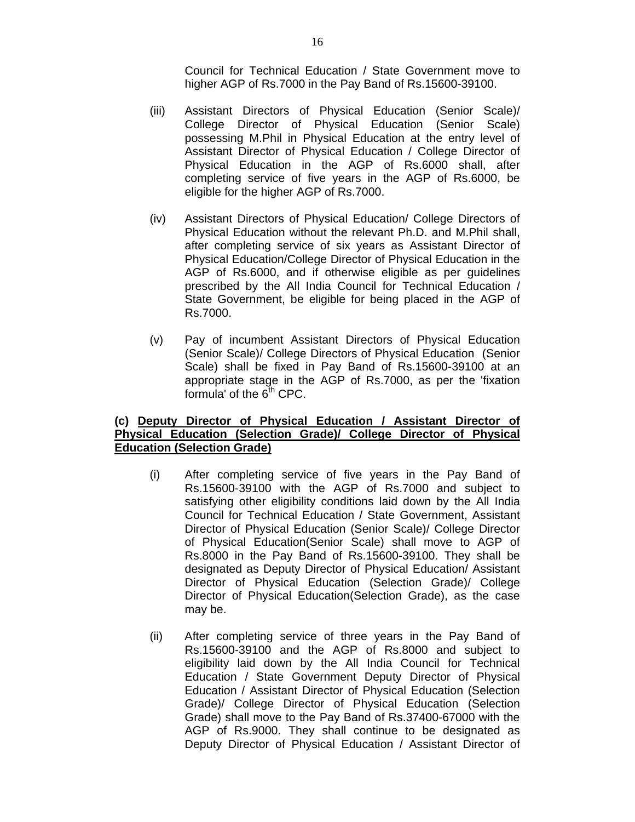Council for Technical Education / State Government move to higher AGP of Rs.7000 in the Pay Band of Rs.15600-39100.

- (iii) Assistant Directors of Physical Education (Senior Scale)/ College Director of Physical Education (Senior Scale) possessing M.Phil in Physical Education at the entry level of Assistant Director of Physical Education / College Director of Physical Education in the AGP of Rs.6000 shall, after completing service of five years in the AGP of Rs.6000, be eligible for the higher AGP of Rs.7000.
- (iv) Assistant Directors of Physical Education/ College Directors of Physical Education without the relevant Ph.D. and M.Phil shall, after completing service of six years as Assistant Director of Physical Education/College Director of Physical Education in the AGP of Rs.6000, and if otherwise eligible as per guidelines prescribed by the All India Council for Technical Education / State Government, be eligible for being placed in the AGP of Rs.7000.
- (v) Pay of incumbent Assistant Directors of Physical Education (Senior Scale)/ College Directors of Physical Education (Senior Scale) shall be fixed in Pay Band of Rs.15600-39100 at an appropriate stage in the AGP of Rs.7000, as per the 'fixation formula' of the  $6<sup>th</sup>$  CPC.

#### **(c) Deputy Director of Physical Education / Assistant Director of Physical Education (Selection Grade)/ College Director of Physical Education (Selection Grade)**

- (i) After completing service of five years in the Pay Band of Rs.15600-39100 with the AGP of Rs.7000 and subject to satisfying other eligibility conditions laid down by the All India Council for Technical Education / State Government, Assistant Director of Physical Education (Senior Scale)/ College Director of Physical Education(Senior Scale) shall move to AGP of Rs.8000 in the Pay Band of Rs.15600-39100. They shall be designated as Deputy Director of Physical Education/ Assistant Director of Physical Education (Selection Grade)/ College Director of Physical Education(Selection Grade), as the case may be.
- (ii) After completing service of three years in the Pay Band of Rs.15600-39100 and the AGP of Rs.8000 and subject to eligibility laid down by the All India Council for Technical Education / State Government Deputy Director of Physical Education / Assistant Director of Physical Education (Selection Grade)/ College Director of Physical Education (Selection Grade) shall move to the Pay Band of Rs.37400-67000 with the AGP of Rs.9000. They shall continue to be designated as Deputy Director of Physical Education / Assistant Director of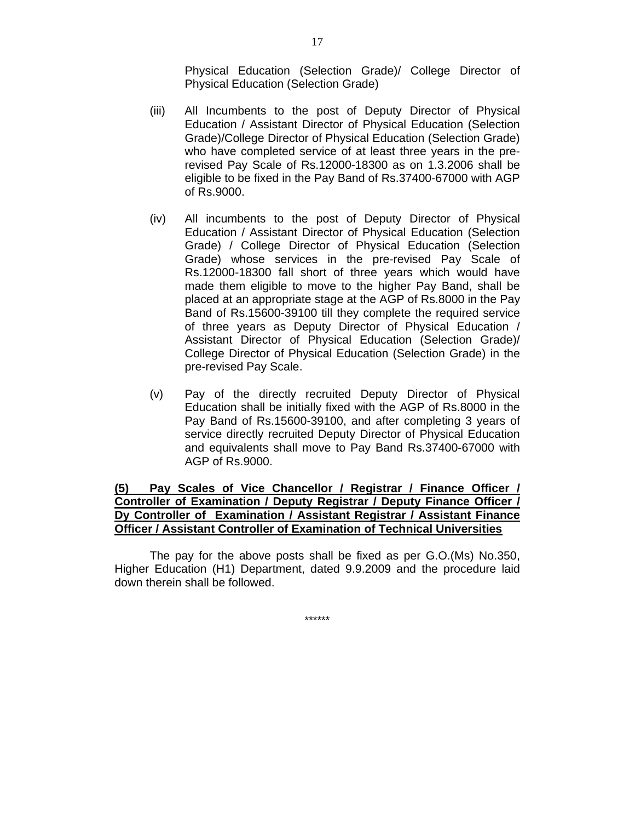Physical Education (Selection Grade)/ College Director of Physical Education (Selection Grade)

- (iii) All Incumbents to the post of Deputy Director of Physical Education / Assistant Director of Physical Education (Selection Grade)/College Director of Physical Education (Selection Grade) who have completed service of at least three years in the prerevised Pay Scale of Rs.12000-18300 as on 1.3.2006 shall be eligible to be fixed in the Pay Band of Rs.37400-67000 with AGP of Rs.9000.
- (iv) All incumbents to the post of Deputy Director of Physical Education / Assistant Director of Physical Education (Selection Grade) / College Director of Physical Education (Selection Grade) whose services in the pre-revised Pay Scale of Rs.12000-18300 fall short of three years which would have made them eligible to move to the higher Pay Band, shall be placed at an appropriate stage at the AGP of Rs.8000 in the Pay Band of Rs.15600-39100 till they complete the required service of three years as Deputy Director of Physical Education / Assistant Director of Physical Education (Selection Grade)/ College Director of Physical Education (Selection Grade) in the pre-revised Pay Scale.
- (v) Pay of the directly recruited Deputy Director of Physical Education shall be initially fixed with the AGP of Rs.8000 in the Pay Band of Rs.15600-39100, and after completing 3 years of service directly recruited Deputy Director of Physical Education and equivalents shall move to Pay Band Rs.37400-67000 with AGP of Rs.9000.

#### **(5) Pay Scales of Vice Chancellor / Registrar / Finance Officer / Controller of Examination / Deputy Registrar / Deputy Finance Officer / Dy Controller of Examination / Assistant Registrar / Assistant Finance Officer / Assistant Controller of Examination of Technical Universities**

The pay for the above posts shall be fixed as per G.O.(Ms) No.350, Higher Education (H1) Department, dated 9.9.2009 and the procedure laid down therein shall be followed.

\*\*\*\*\*\*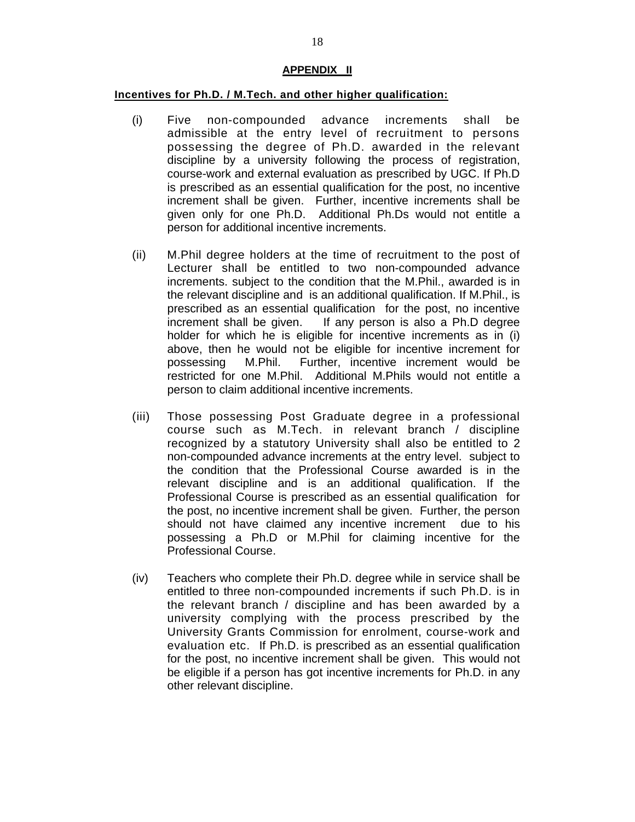#### **APPENDIX II**

#### **Incentives for Ph.D. / M.Tech. and other higher qualification:**

- (i) Five non-compounded advance increments shall be admissible at the entry level of recruitment to persons possessing the degree of Ph.D. awarded in the relevant discipline by a university following the process of registration, course-work and external evaluation as prescribed by UGC. If Ph.D is prescribed as an essential qualification for the post, no incentive increment shall be given. Further, incentive increments shall be given only for one Ph.D. Additional Ph.Ds would not entitle a person for additional incentive increments.
- (ii) M.Phil degree holders at the time of recruitment to the post of Lecturer shall be entitled to two non-compounded advance increments. subject to the condition that the M.Phil., awarded is in the relevant discipline and is an additional qualification. If M.Phil., is prescribed as an essential qualification for the post, no incentive increment shall be given. If any person is also a Ph.D degree holder for which he is eligible for incentive increments as in (i) above, then he would not be eligible for incentive increment for possessing M.Phil. Further, incentive increment would be restricted for one M.Phil. Additional M.Phils would not entitle a person to claim additional incentive increments.
- (iii) Those possessing Post Graduate degree in a professional course such as M.Tech. in relevant branch / discipline recognized by a statutory University shall also be entitled to 2 non-compounded advance increments at the entry level. subject to the condition that the Professional Course awarded is in the relevant discipline and is an additional qualification. If the Professional Course is prescribed as an essential qualification for the post, no incentive increment shall be given. Further, the person should not have claimed any incentive increment due to his possessing a Ph.D or M.Phil for claiming incentive for the Professional Course.
- (iv) Teachers who complete their Ph.D. degree while in service shall be entitled to three non-compounded increments if such Ph.D. is in the relevant branch / discipline and has been awarded by a university complying with the process prescribed by the University Grants Commission for enrolment, course-work and evaluation etc. If Ph.D. is prescribed as an essential qualification for the post, no incentive increment shall be given. This would not be eligible if a person has got incentive increments for Ph.D. in any other relevant discipline.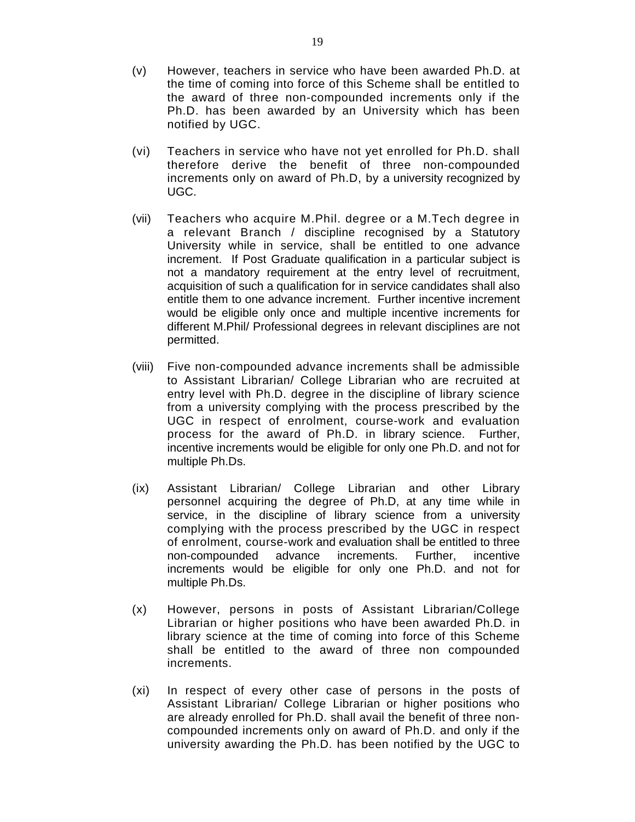- (v) However, teachers in service who have been awarded Ph.D. at the time of coming into force of this Scheme shall be entitled to the award of three non-compounded increments only if the Ph.D. has been awarded by an University which has been notified by UGC.
- (vi) Teachers in service who have not yet enrolled for Ph.D. shall therefore derive the benefit of three non-compounded increments only on award of Ph.D, by a university recognized by UGC.
- (vii) Teachers who acquire M.Phil. degree or a M.Tech degree in a relevant Branch / discipline recognised by a Statutory University while in service, shall be entitled to one advance increment. If Post Graduate qualification in a particular subject is not a mandatory requirement at the entry level of recruitment, acquisition of such a qualification for in service candidates shall also entitle them to one advance increment. Further incentive increment would be eligible only once and multiple incentive increments for different M.Phil/ Professional degrees in relevant disciplines are not permitted.
- (viii) Five non-compounded advance increments shall be admissible to Assistant Librarian/ College Librarian who are recruited at entry level with Ph.D. degree in the discipline of library science from a university complying with the process prescribed by the UGC in respect of enrolment, course-work and evaluation process for the award of Ph.D. in library science. Further, incentive increments would be eligible for only one Ph.D. and not for multiple Ph.Ds.
- (ix) Assistant Librarian/ College Librarian and other Library personnel acquiring the degree of Ph.D, at any time while in service, in the discipline of library science from a university complying with the process prescribed by the UGC in respect of enrolment, course-work and evaluation shall be entitled to three non-compounded advance increments. Further, incentive increments would be eligible for only one Ph.D. and not for multiple Ph.Ds.
- (x) However, persons in posts of Assistant Librarian/College Librarian or higher positions who have been awarded Ph.D. in library science at the time of coming into force of this Scheme shall be entitled to the award of three non compounded increments.
- (xi) In respect of every other case of persons in the posts of Assistant Librarian/ College Librarian or higher positions who are already enrolled for Ph.D. shall avail the benefit of three noncompounded increments only on award of Ph.D. and only if the university awarding the Ph.D. has been notified by the UGC to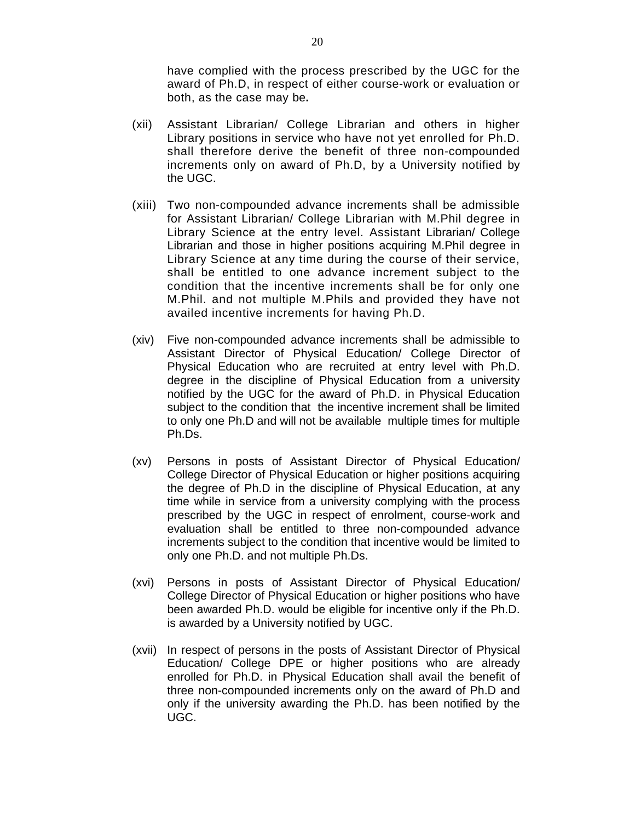have complied with the process prescribed by the UGC for the award of Ph.D, in respect of either course-work or evaluation or both, as the case may be**.** 

- (xii) Assistant Librarian/ College Librarian and others in higher Library positions in service who have not yet enrolled for Ph.D. shall therefore derive the benefit of three non-compounded increments only on award of Ph.D, by a University notified by the UGC.
- (xiii) Two non-compounded advance increments shall be admissible for Assistant Librarian/ College Librarian with M.Phil degree in Library Science at the entry level. Assistant Librarian/ College Librarian and those in higher positions acquiring M.Phil degree in Library Science at any time during the course of their service, shall be entitled to one advance increment subject to the condition that the incentive increments shall be for only one M.Phil. and not multiple M.Phils and provided they have not availed incentive increments for having Ph.D.
- (xiv) Five non-compounded advance increments shall be admissible to Assistant Director of Physical Education/ College Director of Physical Education who are recruited at entry level with Ph.D. degree in the discipline of Physical Education from a university notified by the UGC for the award of Ph.D. in Physical Education subject to the condition that the incentive increment shall be limited to only one Ph.D and will not be available multiple times for multiple Ph.Ds.
- (xv) Persons in posts of Assistant Director of Physical Education/ College Director of Physical Education or higher positions acquiring the degree of Ph.D in the discipline of Physical Education, at any time while in service from a university complying with the process prescribed by the UGC in respect of enrolment, course-work and evaluation shall be entitled to three non-compounded advance increments subject to the condition that incentive would be limited to only one Ph.D. and not multiple Ph.Ds.
- (xvi) Persons in posts of Assistant Director of Physical Education/ College Director of Physical Education or higher positions who have been awarded Ph.D. would be eligible for incentive only if the Ph.D. is awarded by a University notified by UGC.
- (xvii) In respect of persons in the posts of Assistant Director of Physical Education/ College DPE or higher positions who are already enrolled for Ph.D. in Physical Education shall avail the benefit of three non-compounded increments only on the award of Ph.D and only if the university awarding the Ph.D. has been notified by the UGC.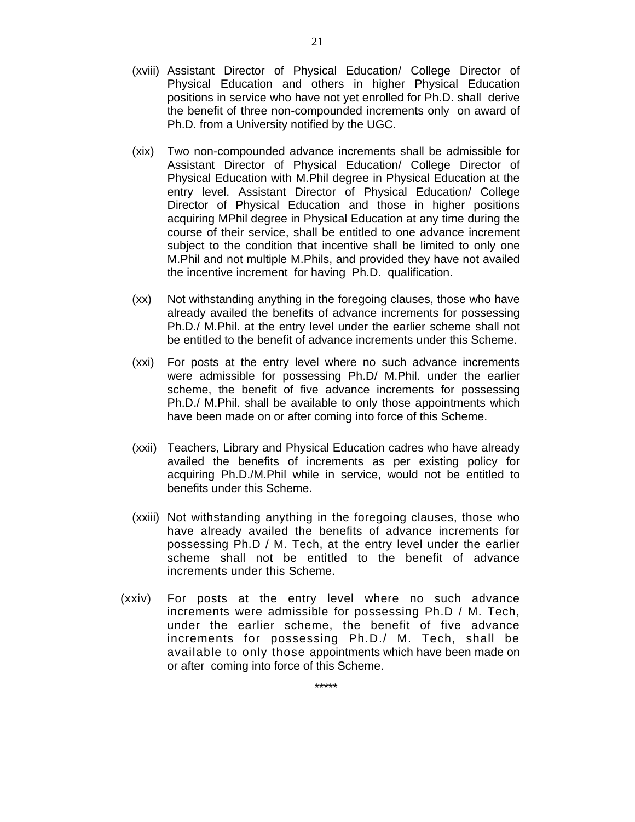- (xviii) Assistant Director of Physical Education/ College Director of Physical Education and others in higher Physical Education positions in service who have not yet enrolled for Ph.D. shall derive the benefit of three non-compounded increments only on award of Ph.D. from a University notified by the UGC.
- (xix) Two non-compounded advance increments shall be admissible for Assistant Director of Physical Education/ College Director of Physical Education with M.Phil degree in Physical Education at the entry level. Assistant Director of Physical Education/ College Director of Physical Education and those in higher positions acquiring MPhil degree in Physical Education at any time during the course of their service, shall be entitled to one advance increment subject to the condition that incentive shall be limited to only one M.Phil and not multiple M.Phils, and provided they have not availed the incentive increment for having Ph.D. qualification.
- (xx) Not withstanding anything in the foregoing clauses, those who have already availed the benefits of advance increments for possessing Ph.D./ M.Phil. at the entry level under the earlier scheme shall not be entitled to the benefit of advance increments under this Scheme.
- (xxi) For posts at the entry level where no such advance increments were admissible for possessing Ph.D/ M.Phil. under the earlier scheme, the benefit of five advance increments for possessing Ph.D./ M.Phil. shall be available to only those appointments which have been made on or after coming into force of this Scheme.
- (xxii) Teachers, Library and Physical Education cadres who have already availed the benefits of increments as per existing policy for acquiring Ph.D./M.Phil while in service, would not be entitled to benefits under this Scheme.
- (xxiii) Not withstanding anything in the foregoing clauses, those who have already availed the benefits of advance increments for possessing Ph.D / M. Tech, at the entry level under the earlier scheme shall not be entitled to the benefit of advance increments under this Scheme.
- (xxiv) For posts at the entry level where no such advance increments were admissible for possessing Ph.D / M. Tech, under the earlier scheme, the benefit of five advance increments for possessing Ph.D./ M. Tech, shall be available to only those appointments which have been made on or after coming into force of this Scheme.

\*\*\*\*\*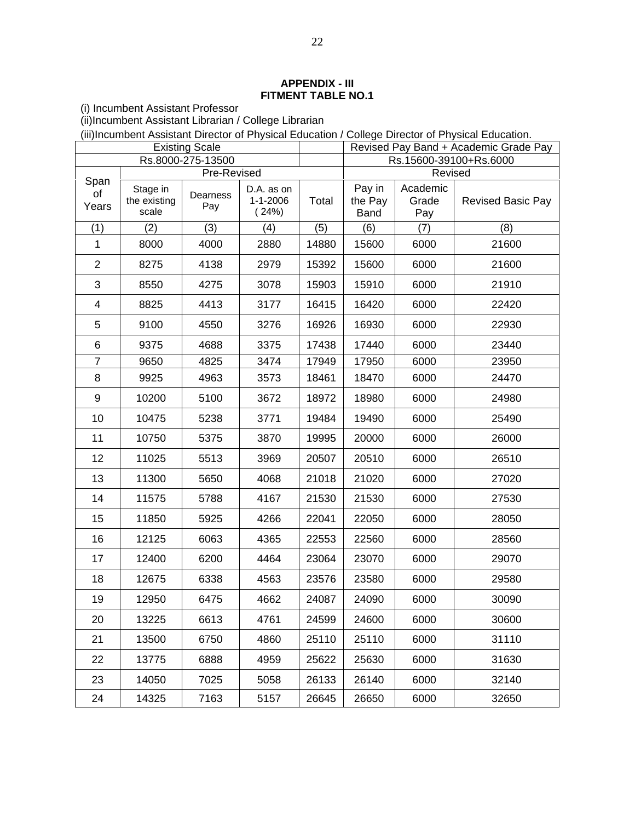#### **APPENDIX - III FITMENT TABLE NO.1**

(i) Incumbent Assistant Professor

(ii)Incumbent Assistant Librarian / College Librarian

(iii)Incumbent Assistant Director of Physical Education / College Director of Physical Education.

|                |                                   | <b>Existing Scale</b> |                                      |       | Revised Pay Band + Academic Grade Pay |                          |                          |
|----------------|-----------------------------------|-----------------------|--------------------------------------|-------|---------------------------------------|--------------------------|--------------------------|
|                |                                   | Rs.8000-275-13500     |                                      |       | Rs.15600-39100+Rs.6000                |                          |                          |
| Span           | Pre-Revised                       |                       |                                      |       | Revised                               |                          |                          |
| of<br>Years    | Stage in<br>the existing<br>scale | Dearness<br>Pay       | D.A. as on<br>$1 - 1 - 2006$<br>24%) | Total | Pay in<br>the Pay<br><b>Band</b>      | Academic<br>Grade<br>Pay | <b>Revised Basic Pay</b> |
| (1)            | (2)                               | (3)                   | (4)                                  | (5)   | (6)                                   | (7)                      | (8)                      |
| 1              | 8000                              | 4000                  | 2880                                 | 14880 | 15600                                 | 6000                     | 21600                    |
| $\overline{2}$ | 8275                              | 4138                  | 2979                                 | 15392 | 15600                                 | 6000                     | 21600                    |
| 3              | 8550                              | 4275                  | 3078                                 | 15903 | 15910                                 | 6000                     | 21910                    |
| 4              | 8825                              | 4413                  | 3177                                 | 16415 | 16420                                 | 6000                     | 22420                    |
| 5              | 9100                              | 4550                  | 3276                                 | 16926 | 16930                                 | 6000                     | 22930                    |
| 6              | 9375                              | 4688                  | 3375                                 | 17438 | 17440                                 | 6000                     | 23440                    |
| 7              | 9650                              | 4825                  | 3474                                 | 17949 | 17950                                 | 6000                     | 23950                    |
| 8              | 9925                              | 4963                  | 3573                                 | 18461 | 18470                                 | 6000                     | 24470                    |
| 9              | 10200                             | 5100                  | 3672                                 | 18972 | 18980                                 | 6000                     | 24980                    |
| 10             | 10475                             | 5238                  | 3771                                 | 19484 | 19490                                 | 6000                     | 25490                    |
| 11             | 10750                             | 5375                  | 3870                                 | 19995 | 20000                                 | 6000                     | 26000                    |
| 12             | 11025                             | 5513                  | 3969                                 | 20507 | 20510                                 | 6000                     | 26510                    |
| 13             | 11300                             | 5650                  | 4068                                 | 21018 | 21020                                 | 6000                     | 27020                    |
| 14             | 11575                             | 5788                  | 4167                                 | 21530 | 21530                                 | 6000                     | 27530                    |
| 15             | 11850                             | 5925                  | 4266                                 | 22041 | 22050                                 | 6000                     | 28050                    |
| 16             | 12125                             | 6063                  | 4365                                 | 22553 | 22560                                 | 6000                     | 28560                    |
| 17             | 12400                             | 6200                  | 4464                                 | 23064 | 23070                                 | 6000                     | 29070                    |
| 18             | 12675                             | 6338                  | 4563                                 | 23576 | 23580                                 | 6000                     | 29580                    |
| 19             | 12950                             | 6475                  | 4662                                 | 24087 | 24090                                 | 6000                     | 30090                    |
| 20             | 13225                             | 6613                  | 4761                                 | 24599 | 24600                                 | 6000                     | 30600                    |
| 21             | 13500                             | 6750                  | 4860                                 | 25110 | 25110                                 | 6000                     | 31110                    |
| 22             | 13775                             | 6888                  | 4959                                 | 25622 | 25630                                 | 6000                     | 31630                    |
| 23             | 14050                             | 7025                  | 5058                                 | 26133 | 26140                                 | 6000                     | 32140                    |
| 24             | 14325                             | 7163                  | 5157                                 | 26645 | 26650                                 | 6000                     | 32650                    |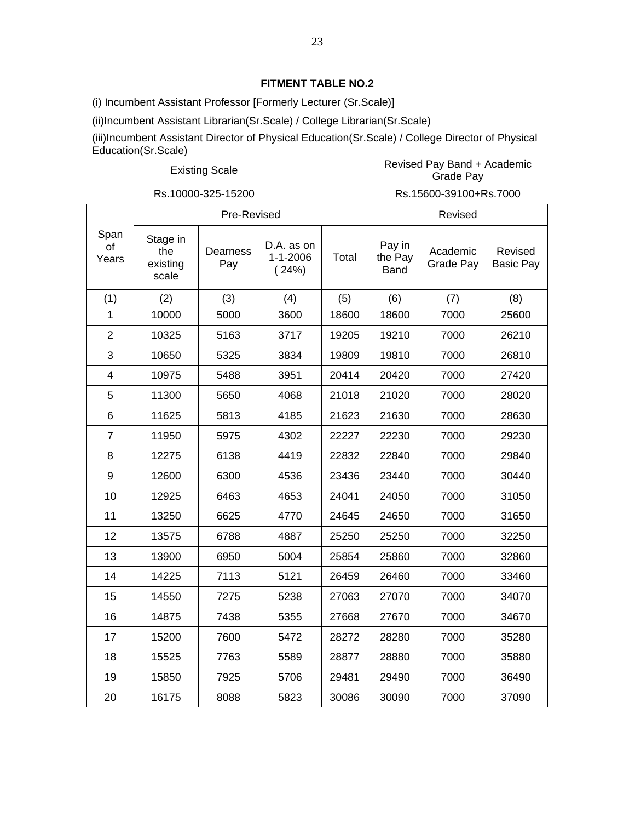(i) Incumbent Assistant Professor [Formerly Lecturer (Sr.Scale)]

(ii)Incumbent Assistant Librarian(Sr.Scale) / College Librarian(Sr.Scale)

(iii)Incumbent Assistant Director of Physical Education(Sr.Scale) / College Director of Physical Education(Sr.Scale)

#### Existing Scale **Revised Pay Band + Academic**<br>Crade Bay Grade Pay

Rs.10000-325-15200 Rs.15600-39100+Rs.7000

|                         | Pre-Revised                          |                 |                                       |       | Revised                          |                       |                             |
|-------------------------|--------------------------------------|-----------------|---------------------------------------|-------|----------------------------------|-----------------------|-----------------------------|
| Span<br>οf<br>Years     | Stage in<br>the<br>existing<br>scale | Dearness<br>Pay | D.A. as on<br>$1 - 1 - 2006$<br>(24%) | Total | Pay in<br>the Pay<br><b>Band</b> | Academic<br>Grade Pay | Revised<br><b>Basic Pay</b> |
| (1)                     | (2)                                  | (3)             | (4)                                   | (5)   | (6)                              | (7)                   | (8)                         |
| 1                       | 10000                                | 5000            | 3600                                  | 18600 | 18600                            | 7000                  | 25600                       |
| $\overline{2}$          | 10325                                | 5163            | 3717                                  | 19205 | 19210                            | 7000                  | 26210                       |
| 3                       | 10650                                | 5325            | 3834                                  | 19809 | 19810                            | 7000                  | 26810                       |
| $\overline{\mathbf{4}}$ | 10975                                | 5488            | 3951                                  | 20414 | 20420                            | 7000                  | 27420                       |
| 5                       | 11300                                | 5650            | 4068                                  | 21018 | 21020                            | 7000                  | 28020                       |
| 6                       | 11625                                | 5813            | 4185                                  | 21623 | 21630                            | 7000                  | 28630                       |
| $\overline{7}$          | 11950                                | 5975            | 4302                                  | 22227 | 22230                            | 7000                  | 29230                       |
| 8                       | 12275                                | 6138            | 4419                                  | 22832 | 22840                            | 7000                  | 29840                       |
| 9                       | 12600                                | 6300            | 4536                                  | 23436 | 23440                            | 7000                  | 30440                       |
| 10                      | 12925                                | 6463            | 4653                                  | 24041 | 24050                            | 7000                  | 31050                       |
| 11                      | 13250                                | 6625            | 4770                                  | 24645 | 24650                            | 7000                  | 31650                       |
| 12                      | 13575                                | 6788            | 4887                                  | 25250 | 25250                            | 7000                  | 32250                       |
| 13                      | 13900                                | 6950            | 5004                                  | 25854 | 25860                            | 7000                  | 32860                       |
| 14                      | 14225                                | 7113            | 5121                                  | 26459 | 26460                            | 7000                  | 33460                       |
| 15                      | 14550                                | 7275            | 5238                                  | 27063 | 27070                            | 7000                  | 34070                       |
| 16                      | 14875                                | 7438            | 5355                                  | 27668 | 27670                            | 7000                  | 34670                       |
| 17                      | 15200                                | 7600            | 5472                                  | 28272 | 28280                            | 7000                  | 35280                       |
| 18                      | 15525                                | 7763            | 5589                                  | 28877 | 28880                            | 7000                  | 35880                       |
| 19                      | 15850                                | 7925            | 5706                                  | 29481 | 29490                            | 7000                  | 36490                       |
| 20                      | 16175                                | 8088            | 5823                                  | 30086 | 30090                            | 7000                  | 37090                       |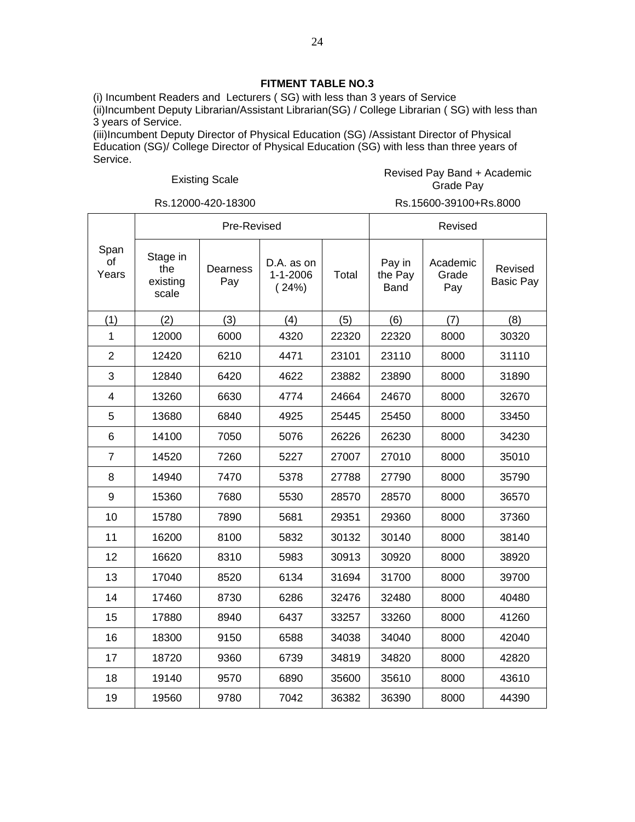(i) Incumbent Readers and Lecturers ( SG) with less than 3 years of Service (ii)Incumbent Deputy Librarian/Assistant Librarian(SG) / College Librarian ( SG) with less than 3 years of Service.

(iii)Incumbent Deputy Director of Physical Education (SG) /Assistant Director of Physical Education (SG)/ College Director of Physical Education (SG) with less than three years of Service.

#### Existing Scale **Revised Pay Band + Academic**<br>Crade Day Grade Pay

 $\overline{1}$ 

Rs.12000-420-18300 Rs.15600-39100+Rs.8000

|                     |                                      | Pre-Revised     |                                       |       |                                  | Revised                  |                             |
|---------------------|--------------------------------------|-----------------|---------------------------------------|-------|----------------------------------|--------------------------|-----------------------------|
| Span<br>of<br>Years | Stage in<br>the<br>existing<br>scale | Dearness<br>Pay | D.A. as on<br>$1 - 1 - 2006$<br>(24%) | Total | Pay in<br>the Pay<br><b>Band</b> | Academic<br>Grade<br>Pay | Revised<br><b>Basic Pay</b> |
| (1)                 | (2)                                  | (3)             | (4)                                   | (5)   | (6)                              | (7)                      | (8)                         |
| 1                   | 12000                                | 6000            | 4320                                  | 22320 | 22320                            | 8000                     | 30320                       |
| $\overline{2}$      | 12420                                | 6210            | 4471                                  | 23101 | 23110                            | 8000                     | 31110                       |
| 3                   | 12840                                | 6420            | 4622                                  | 23882 | 23890                            | 8000                     | 31890                       |
| 4                   | 13260                                | 6630            | 4774                                  | 24664 | 24670                            | 8000                     | 32670                       |
| 5                   | 13680                                | 6840            | 4925                                  | 25445 | 25450                            | 8000                     | 33450                       |
| 6                   | 14100                                | 7050            | 5076                                  | 26226 | 26230                            | 8000                     | 34230                       |
| $\overline{7}$      | 14520                                | 7260            | 5227                                  | 27007 | 27010                            | 8000                     | 35010                       |
| 8                   | 14940                                | 7470            | 5378                                  | 27788 | 27790                            | 8000                     | 35790                       |
| 9                   | 15360                                | 7680            | 5530                                  | 28570 | 28570                            | 8000                     | 36570                       |
| 10                  | 15780                                | 7890            | 5681                                  | 29351 | 29360                            | 8000                     | 37360                       |
| 11                  | 16200                                | 8100            | 5832                                  | 30132 | 30140                            | 8000                     | 38140                       |
| 12                  | 16620                                | 8310            | 5983                                  | 30913 | 30920                            | 8000                     | 38920                       |
| 13                  | 17040                                | 8520            | 6134                                  | 31694 | 31700                            | 8000                     | 39700                       |
| 14                  | 17460                                | 8730            | 6286                                  | 32476 | 32480                            | 8000                     | 40480                       |
| 15                  | 17880                                | 8940            | 6437                                  | 33257 | 33260                            | 8000                     | 41260                       |
| 16                  | 18300                                | 9150            | 6588                                  | 34038 | 34040                            | 8000                     | 42040                       |
| 17                  | 18720                                | 9360            | 6739                                  | 34819 | 34820                            | 8000                     | 42820                       |
| 18                  | 19140                                | 9570            | 6890                                  | 35600 | 35610                            | 8000                     | 43610                       |
| 19                  | 19560                                | 9780            | 7042                                  | 36382 | 36390                            | 8000                     | 44390                       |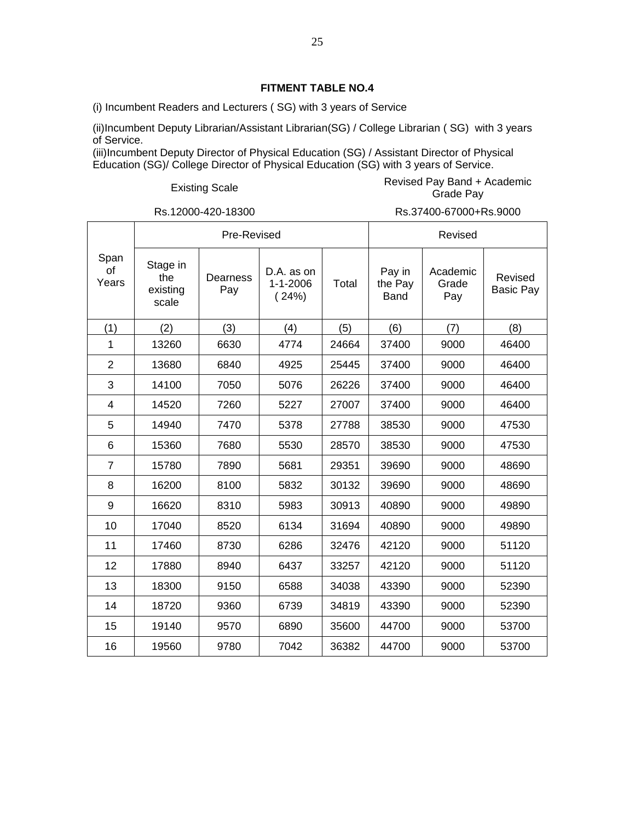(i) Incumbent Readers and Lecturers ( SG) with 3 years of Service

(ii)Incumbent Deputy Librarian/Assistant Librarian(SG) / College Librarian ( SG) with 3 years of Service.

(iii)Incumbent Deputy Director of Physical Education (SG) / Assistant Director of Physical Education (SG)/ College Director of Physical Education (SG) with 3 years of Service.

#### Existing Scale **Revised Pay Band + Academic**<br>Crade Bay Grade Pay

Rs.12000-420-18300 Rs.37400-67000+Rs.9000

|                     |                                      | Pre-Revised     |                                       | Revised |                                  |                          |                             |
|---------------------|--------------------------------------|-----------------|---------------------------------------|---------|----------------------------------|--------------------------|-----------------------------|
| Span<br>of<br>Years | Stage in<br>the<br>existing<br>scale | Dearness<br>Pay | D.A. as on<br>$1 - 1 - 2006$<br>(24%) | Total   | Pay in<br>the Pay<br><b>Band</b> | Academic<br>Grade<br>Pay | Revised<br><b>Basic Pay</b> |
| (1)                 | (2)                                  | (3)             | (4)                                   | (5)     | (6)                              | (7)                      | (8)                         |
| 1                   | 13260                                | 6630            | 4774                                  | 24664   | 37400                            | 9000                     | 46400                       |
| 2                   | 13680                                | 6840            | 4925                                  | 25445   | 37400                            | 9000                     | 46400                       |
| 3                   | 14100                                | 7050            | 5076                                  | 26226   | 37400                            | 9000                     | 46400                       |
| $\overline{4}$      | 14520                                | 7260            | 5227                                  | 27007   | 37400                            | 9000                     | 46400                       |
| 5                   | 14940                                | 7470            | 5378                                  | 27788   | 38530                            | 9000                     | 47530                       |
| 6                   | 15360                                | 7680            | 5530                                  | 28570   | 38530                            | 9000                     | 47530                       |
| $\overline{7}$      | 15780                                | 7890            | 5681                                  | 29351   | 39690                            | 9000                     | 48690                       |
| 8                   | 16200                                | 8100            | 5832                                  | 30132   | 39690                            | 9000                     | 48690                       |
| 9                   | 16620                                | 8310            | 5983                                  | 30913   | 40890                            | 9000                     | 49890                       |
| 10                  | 17040                                | 8520            | 6134                                  | 31694   | 40890                            | 9000                     | 49890                       |
| 11                  | 17460                                | 8730            | 6286                                  | 32476   | 42120                            | 9000                     | 51120                       |
| 12                  | 17880                                | 8940            | 6437                                  | 33257   | 42120                            | 9000                     | 51120                       |
| 13                  | 18300                                | 9150            | 6588                                  | 34038   | 43390                            | 9000                     | 52390                       |
| 14                  | 18720                                | 9360            | 6739                                  | 34819   | 43390                            | 9000                     | 52390                       |
| 15                  | 19140                                | 9570            | 6890                                  | 35600   | 44700                            | 9000                     | 53700                       |
| 16                  | 19560                                | 9780            | 7042                                  | 36382   | 44700                            | 9000                     | 53700                       |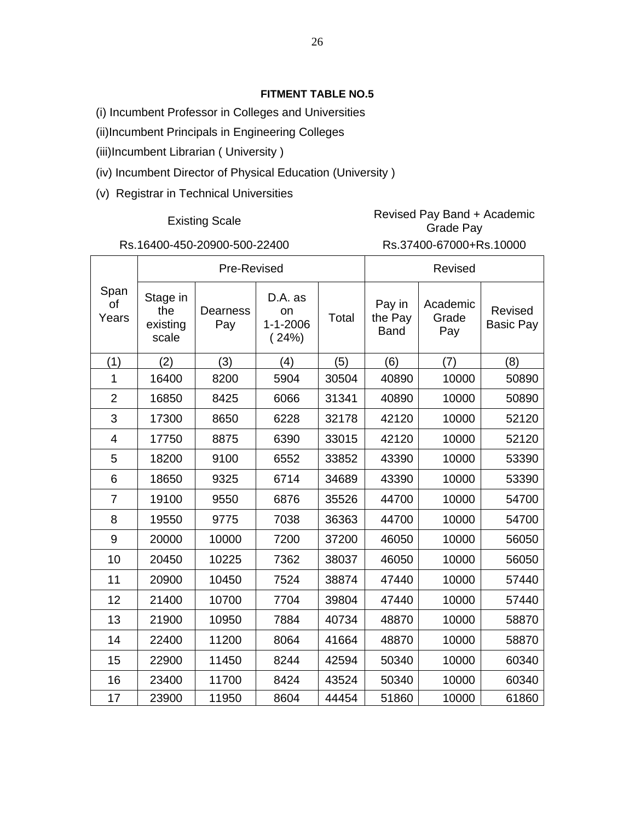- (i) Incumbent Professor in Colleges and Universities
- (ii)Incumbent Principals in Engineering Colleges
- (iii)Incumbent Librarian ( University )
- (iv) Incumbent Director of Physical Education (University )
- (v) Registrar in Technical Universities

## Existing Scale Revised Pay Band + Academic<br>
Crade Pay Grade Pay

 $\overline{\phantom{a}}$ 

Г

Τ

# Rs.16400-450-20900-500-22400 Rs.37400-67000+Rs.10000

|                     |                                      | Pre-Revised            |                                          |       |                                  | Revised                  |                             |
|---------------------|--------------------------------------|------------------------|------------------------------------------|-------|----------------------------------|--------------------------|-----------------------------|
| Span<br>of<br>Years | Stage in<br>the<br>existing<br>scale | <b>Dearness</b><br>Pay | D.A. as<br>on<br>$1 - 1 - 2006$<br>(24%) | Total | Pay in<br>the Pay<br><b>Band</b> | Academic<br>Grade<br>Pay | Revised<br><b>Basic Pay</b> |
| (1)                 | (2)                                  | (3)                    | (4)                                      | (5)   | (6)                              | (7)                      | (8)                         |
| 1                   | 16400                                | 8200                   | 5904                                     | 30504 | 40890                            | 10000                    | 50890                       |
| $\overline{2}$      | 16850                                | 8425                   | 6066                                     | 31341 | 40890                            | 10000                    | 50890                       |
| 3                   | 17300                                | 8650                   | 6228                                     | 32178 | 42120                            | 10000                    | 52120                       |
| $\overline{4}$      | 17750                                | 8875                   | 6390                                     | 33015 | 42120                            | 10000                    | 52120                       |
| 5                   | 18200                                | 9100                   | 6552                                     | 33852 | 43390                            | 10000                    | 53390                       |
| 6                   | 18650                                | 9325                   | 6714                                     | 34689 | 43390                            | 10000                    | 53390                       |
| $\overline{7}$      | 19100                                | 9550                   | 6876                                     | 35526 | 44700                            | 10000                    | 54700                       |
| 8                   | 19550                                | 9775                   | 7038                                     | 36363 | 44700                            | 10000                    | 54700                       |
| 9                   | 20000                                | 10000                  | 7200                                     | 37200 | 46050                            | 10000                    | 56050                       |
| 10                  | 20450                                | 10225                  | 7362                                     | 38037 | 46050                            | 10000                    | 56050                       |
| 11                  | 20900                                | 10450                  | 7524                                     | 38874 | 47440                            | 10000                    | 57440                       |
| 12                  | 21400                                | 10700                  | 7704                                     | 39804 | 47440                            | 10000                    | 57440                       |
| 13                  | 21900                                | 10950                  | 7884                                     | 40734 | 48870                            | 10000                    | 58870                       |
| 14                  | 22400                                | 11200                  | 8064                                     | 41664 | 48870                            | 10000                    | 58870                       |
| 15                  | 22900                                | 11450                  | 8244                                     | 42594 | 50340                            | 10000                    | 60340                       |
| 16                  | 23400                                | 11700                  | 8424                                     | 43524 | 50340                            | 10000                    | 60340                       |
| 17                  | 23900                                | 11950                  | 8604                                     | 44454 | 51860                            | 10000                    | 61860                       |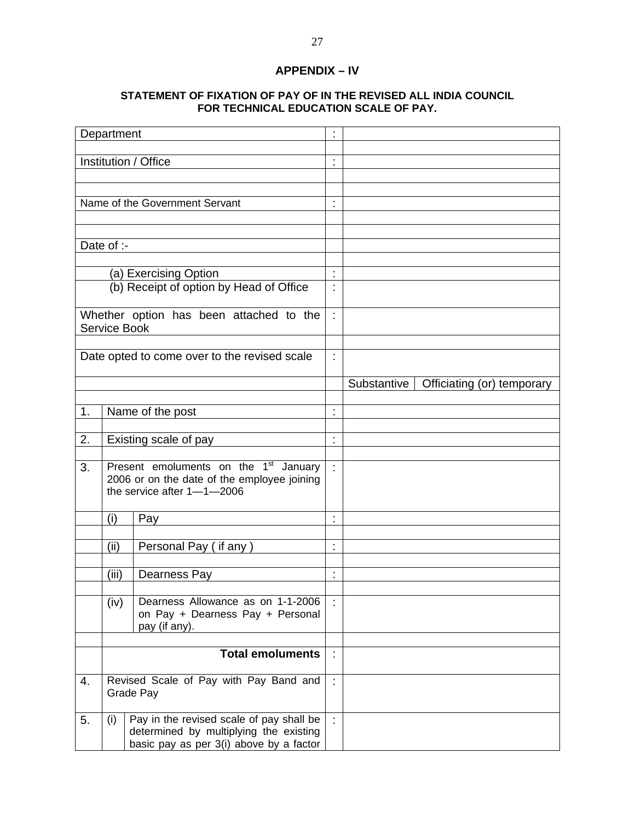### **APPENDIX – IV**

#### **STATEMENT OF FIXATION OF PAY OF IN THE REVISED ALL INDIA COUNCIL FOR TECHNICAL EDUCATION SCALE OF PAY.**

|    | Department |                                                                                                                                   | t                                |                                           |
|----|------------|-----------------------------------------------------------------------------------------------------------------------------------|----------------------------------|-------------------------------------------|
|    |            | Institution / Office                                                                                                              | ł,                               |                                           |
|    |            |                                                                                                                                   |                                  |                                           |
|    |            | Name of the Government Servant                                                                                                    | t                                |                                           |
|    |            |                                                                                                                                   |                                  |                                           |
|    |            |                                                                                                                                   |                                  |                                           |
|    | Date of :- |                                                                                                                                   |                                  |                                           |
|    |            | (a) Exercising Option                                                                                                             | ł,                               |                                           |
|    |            | (b) Receipt of option by Head of Office                                                                                           |                                  |                                           |
|    |            | Whether option has been attached to the<br>Service Book                                                                           | ł.                               |                                           |
|    |            | Date opted to come over to the revised scale                                                                                      |                                  |                                           |
|    |            |                                                                                                                                   |                                  |                                           |
|    |            |                                                                                                                                   |                                  | Substantive<br>Officiating (or) temporary |
| 1. |            | Name of the post                                                                                                                  | t                                |                                           |
|    |            |                                                                                                                                   |                                  |                                           |
| 2. |            | Existing scale of pay                                                                                                             | t,                               |                                           |
|    |            |                                                                                                                                   |                                  |                                           |
| 3. |            | Present emoluments on the 1 <sup>st</sup><br>January<br>2006 or on the date of the employee joining<br>the service after 1-1-2006 | ÷.                               |                                           |
|    | (i)        | Pay                                                                                                                               | t                                |                                           |
|    |            |                                                                                                                                   |                                  |                                           |
|    | (ii)       | Personal Pay (if any)                                                                                                             | $\blacksquare$<br>$\blacksquare$ |                                           |
|    | (iii)      | Dearness Pay                                                                                                                      | $\blacksquare$                   |                                           |
|    |            |                                                                                                                                   |                                  |                                           |
|    | (iv)       | Dearness Allowance as on 1-1-2006<br>on Pay + Dearness Pay + Personal<br>pay (if any).                                            | ÷                                |                                           |
|    |            | <b>Total emoluments</b>                                                                                                           | ÷                                |                                           |
|    |            |                                                                                                                                   |                                  |                                           |
| 4. |            | Revised Scale of Pay with Pay Band and<br>Grade Pay                                                                               | ÷.                               |                                           |
| 5. | (i)        | Pay in the revised scale of pay shall be<br>determined by multiplying the existing<br>basic pay as per 3(i) above by a factor     | ÷.                               |                                           |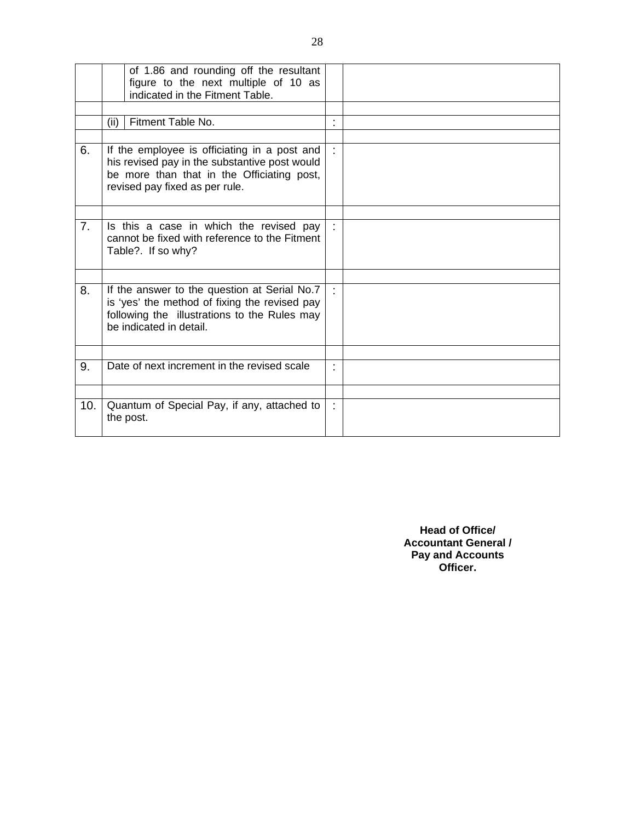|     | of 1.86 and rounding off the resultant<br>figure to the next multiple of 10 as<br>indicated in the Fitment Table.                                                             |  |
|-----|-------------------------------------------------------------------------------------------------------------------------------------------------------------------------------|--|
|     |                                                                                                                                                                               |  |
|     | Fitment Table No.<br>(ii)                                                                                                                                                     |  |
|     |                                                                                                                                                                               |  |
| 6.  | If the employee is officiating in a post and<br>his revised pay in the substantive post would<br>be more than that in the Officiating post,<br>revised pay fixed as per rule. |  |
|     |                                                                                                                                                                               |  |
| 7.  | Is this a case in which the revised pay<br>cannot be fixed with reference to the Fitment<br>Table?. If so why?                                                                |  |
|     |                                                                                                                                                                               |  |
| 8.  | If the answer to the question at Serial No.7<br>is 'yes' the method of fixing the revised pay<br>following the illustrations to the Rules may<br>be indicated in detail.      |  |
|     |                                                                                                                                                                               |  |
| 9.  | Date of next increment in the revised scale                                                                                                                                   |  |
|     |                                                                                                                                                                               |  |
| 10. | Quantum of Special Pay, if any, attached to<br>the post.                                                                                                                      |  |

**Head of Office/ Accountant General / Pay and Accounts Officer.**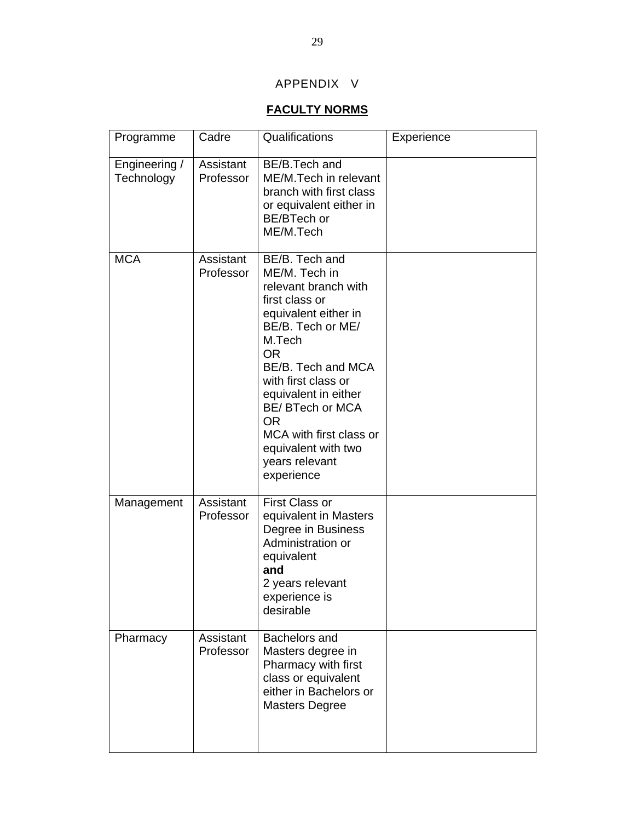### APPENDIX V

### **FACULTY NORMS**

| Programme                   | Cadre                  | Qualifications                                                                                                                                                                                                                                                                                                                        | Experience |
|-----------------------------|------------------------|---------------------------------------------------------------------------------------------------------------------------------------------------------------------------------------------------------------------------------------------------------------------------------------------------------------------------------------|------------|
| Engineering /<br>Technology | Assistant<br>Professor | BE/B.Tech and<br>ME/M.Tech in relevant<br>branch with first class<br>or equivalent either in<br>BE/BTech or<br>ME/M.Tech                                                                                                                                                                                                              |            |
| <b>MCA</b>                  | Assistant<br>Professor | BE/B. Tech and<br>ME/M. Tech in<br>relevant branch with<br>first class or<br>equivalent either in<br>BE/B. Tech or ME/<br>M.Tech<br><b>OR</b><br>BE/B. Tech and MCA<br>with first class or<br>equivalent in either<br>BE/ BTech or MCA<br><b>OR</b><br>MCA with first class or<br>equivalent with two<br>years relevant<br>experience |            |
| Management                  | Assistant<br>Professor | <b>First Class or</b><br>equivalent in Masters<br>Degree in Business<br>Administration or<br>equivalent<br>and<br>2 years relevant<br>experience is<br>desirable                                                                                                                                                                      |            |
| Pharmacy                    | Assistant<br>Professor | Bachelors and<br>Masters degree in<br>Pharmacy with first<br>class or equivalent<br>either in Bachelors or<br><b>Masters Degree</b>                                                                                                                                                                                                   |            |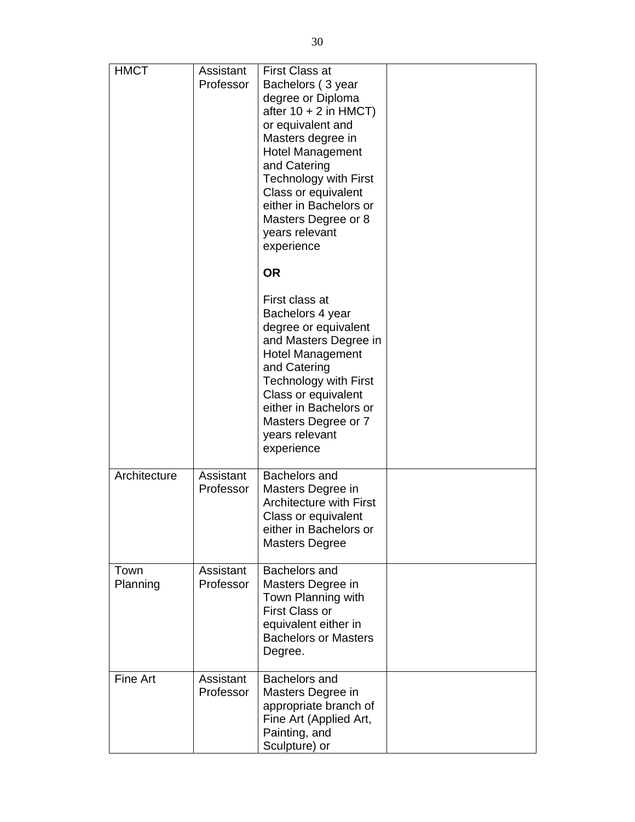| <b>HMCT</b>      | Assistant<br>Professor | <b>First Class at</b><br>Bachelors (3 year<br>degree or Diploma<br>after $10 + 2$ in HMCT)<br>or equivalent and<br>Masters degree in<br><b>Hotel Management</b><br>and Catering<br><b>Technology with First</b><br>Class or equivalent<br>either in Bachelors or<br>Masters Degree or 8<br>years relevant<br>experience<br><b>OR</b> |  |
|------------------|------------------------|--------------------------------------------------------------------------------------------------------------------------------------------------------------------------------------------------------------------------------------------------------------------------------------------------------------------------------------|--|
|                  |                        | First class at<br>Bachelors 4 year<br>degree or equivalent<br>and Masters Degree in<br><b>Hotel Management</b><br>and Catering<br><b>Technology with First</b><br>Class or equivalent<br>either in Bachelors or<br>Masters Degree or 7<br>years relevant<br>experience                                                               |  |
| Architecture     | Assistant<br>Professor | Bachelors and<br>Masters Degree in<br><b>Architecture with First</b><br>Class or equivalent<br>either in Bachelors or<br><b>Masters Degree</b>                                                                                                                                                                                       |  |
| Town<br>Planning | Assistant<br>Professor | Bachelors and<br>Masters Degree in<br>Town Planning with<br><b>First Class or</b><br>equivalent either in<br><b>Bachelors or Masters</b><br>Degree.                                                                                                                                                                                  |  |
| Fine Art         | Assistant<br>Professor | Bachelors and<br>Masters Degree in<br>appropriate branch of<br>Fine Art (Applied Art,<br>Painting, and<br>Sculpture) or                                                                                                                                                                                                              |  |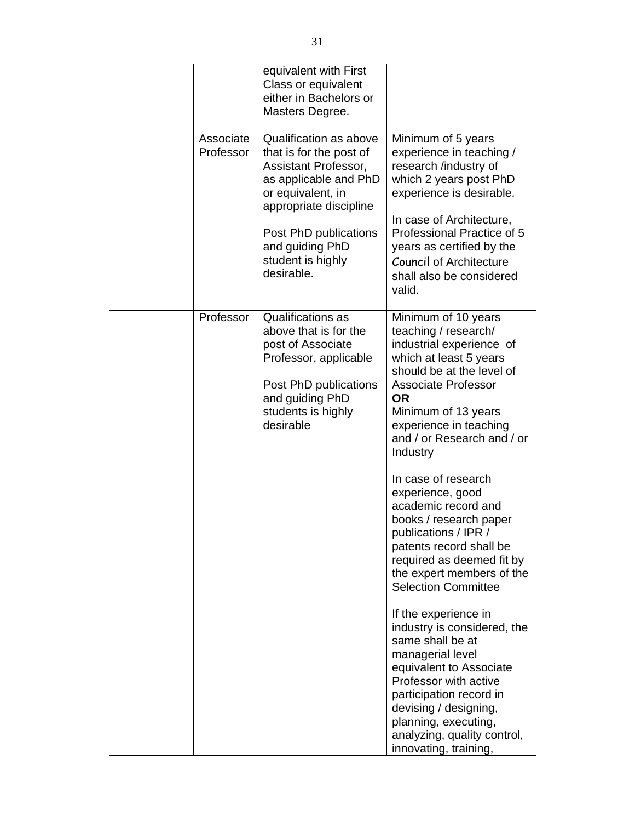|                        | equivalent with First<br>Class or equivalent<br>either in Bachelors or<br>Masters Degree.                                                                                                                                        |                                                                                                                                                                                                                                                                                                                                                                                                                                                                                                                                                                                                                                                                                                                                                                                                    |
|------------------------|----------------------------------------------------------------------------------------------------------------------------------------------------------------------------------------------------------------------------------|----------------------------------------------------------------------------------------------------------------------------------------------------------------------------------------------------------------------------------------------------------------------------------------------------------------------------------------------------------------------------------------------------------------------------------------------------------------------------------------------------------------------------------------------------------------------------------------------------------------------------------------------------------------------------------------------------------------------------------------------------------------------------------------------------|
| Associate<br>Professor | Qualification as above<br>that is for the post of<br>Assistant Professor,<br>as applicable and PhD<br>or equivalent, in<br>appropriate discipline<br>Post PhD publications<br>and guiding PhD<br>student is highly<br>desirable. | Minimum of 5 years<br>experience in teaching /<br>research /industry of<br>which 2 years post PhD<br>experience is desirable.<br>In case of Architecture,<br>Professional Practice of 5<br>years as certified by the<br><b>Council of Architecture</b><br>shall also be considered<br>valid.                                                                                                                                                                                                                                                                                                                                                                                                                                                                                                       |
| Professor              | Qualifications as<br>above that is for the<br>post of Associate<br>Professor, applicable<br>Post PhD publications<br>and guiding PhD<br>students is highly<br>desirable                                                          | Minimum of 10 years<br>teaching / research/<br>industrial experience of<br>which at least 5 years<br>should be at the level of<br><b>Associate Professor</b><br><b>OR</b><br>Minimum of 13 years<br>experience in teaching<br>and / or Research and / or<br>Industry<br>In case of research<br>experience, good<br>academic record and<br>books / research paper<br>publications / IPR /<br>patents record shall be<br>required as deemed fit by<br>the expert members of the<br><b>Selection Committee</b><br>If the experience in<br>industry is considered, the<br>same shall be at<br>managerial level<br>equivalent to Associate<br>Professor with active<br>participation record in<br>devising / designing,<br>planning, executing,<br>analyzing, quality control,<br>innovating, training, |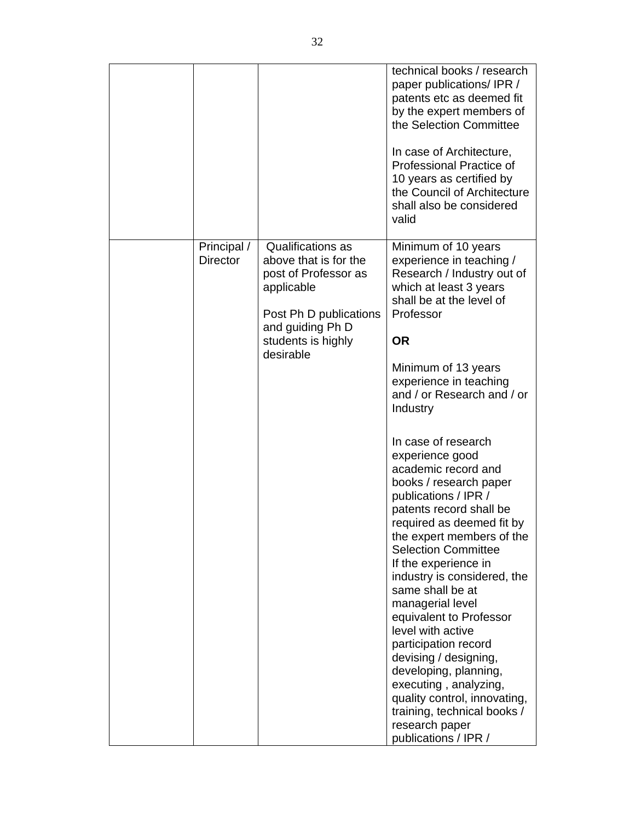|                                |                                                                                                                                                                          | technical books / research<br>paper publications/IPR /<br>patents etc as deemed fit<br>by the expert members of<br>the Selection Committee<br>In case of Architecture,<br>Professional Practice of<br>10 years as certified by<br>the Council of Architecture<br>shall also be considered<br>valid                                                                                                                                                                                                                                                                                                                                                                                                                                                                                                                                                        |
|--------------------------------|--------------------------------------------------------------------------------------------------------------------------------------------------------------------------|-----------------------------------------------------------------------------------------------------------------------------------------------------------------------------------------------------------------------------------------------------------------------------------------------------------------------------------------------------------------------------------------------------------------------------------------------------------------------------------------------------------------------------------------------------------------------------------------------------------------------------------------------------------------------------------------------------------------------------------------------------------------------------------------------------------------------------------------------------------|
| Principal /<br><b>Director</b> | <b>Qualifications as</b><br>above that is for the<br>post of Professor as<br>applicable<br>Post Ph D publications<br>and guiding Ph D<br>students is highly<br>desirable | Minimum of 10 years<br>experience in teaching /<br>Research / Industry out of<br>which at least 3 years<br>shall be at the level of<br>Professor<br><b>OR</b><br>Minimum of 13 years<br>experience in teaching<br>and / or Research and / or<br>Industry<br>In case of research<br>experience good<br>academic record and<br>books / research paper<br>publications / IPR /<br>patents record shall be<br>required as deemed fit by<br>the expert members of the<br><b>Selection Committee</b><br>If the experience in<br>industry is considered, the<br>same shall be at<br>managerial level<br>equivalent to Professor<br>level with active<br>participation record<br>devising / designing,<br>developing, planning,<br>executing, analyzing,<br>quality control, innovating,<br>training, technical books /<br>research paper<br>publications / IPR / |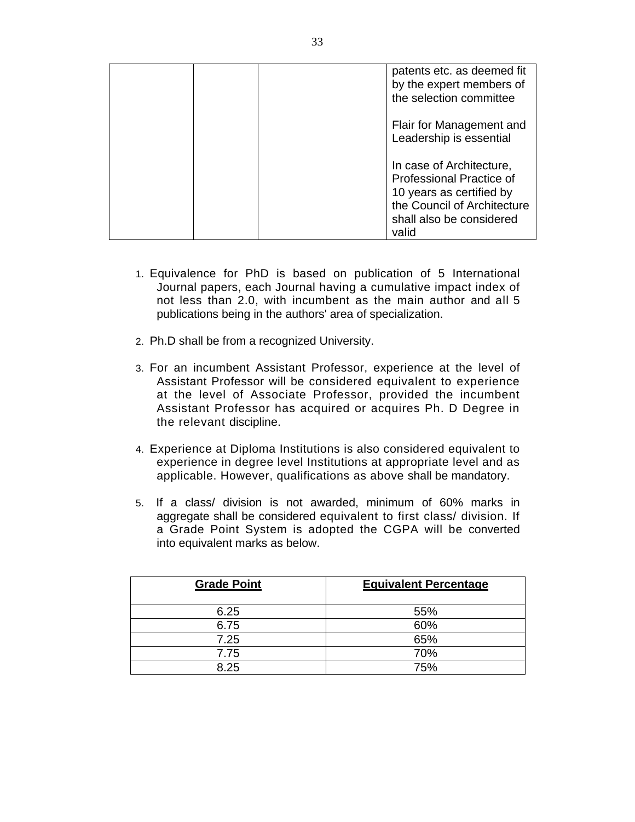|  | patents etc. as deemed fit<br>by the expert members of<br>the selection committee                                                                           |
|--|-------------------------------------------------------------------------------------------------------------------------------------------------------------|
|  | Flair for Management and<br>Leadership is essential                                                                                                         |
|  | In case of Architecture,<br><b>Professional Practice of</b><br>10 years as certified by<br>the Council of Architecture<br>shall also be considered<br>valid |

- 1. Equivalence for PhD is based on publication of 5 International Journal papers, each Journal having a cumulative impact index of not less than 2.0, with incumbent as the main author and all 5 publications being in the authors' area of specialization.
- 2. Ph.D shall be from a recognized University.
- 3. For an incumbent Assistant Professor, experience at the level of Assistant Professor will be considered equivalent to experience at the level of Associate Professor, provided the incumbent Assistant Professor has acquired or acquires Ph. D Degree in the relevant discipline.
- 4. Experience at Diploma Institutions is also considered equivalent to experience in degree level Institutions at appropriate level and as applicable. However, qualifications as above shall be mandatory.
- 5. If a class/ division is not awarded, minimum of 60% marks in aggregate shall be considered equivalent to first class/ division. If a Grade Point System is adopted the CGPA will be converted into equivalent marks as below.

| <b>Grade Point</b> | <b>Equivalent Percentage</b> |  |  |
|--------------------|------------------------------|--|--|
| 6.25               | 55%                          |  |  |
| 6.75               | 60%                          |  |  |
| 7.25               | 65%                          |  |  |
| 7.75               | 70%                          |  |  |
| 8.25               | 75%                          |  |  |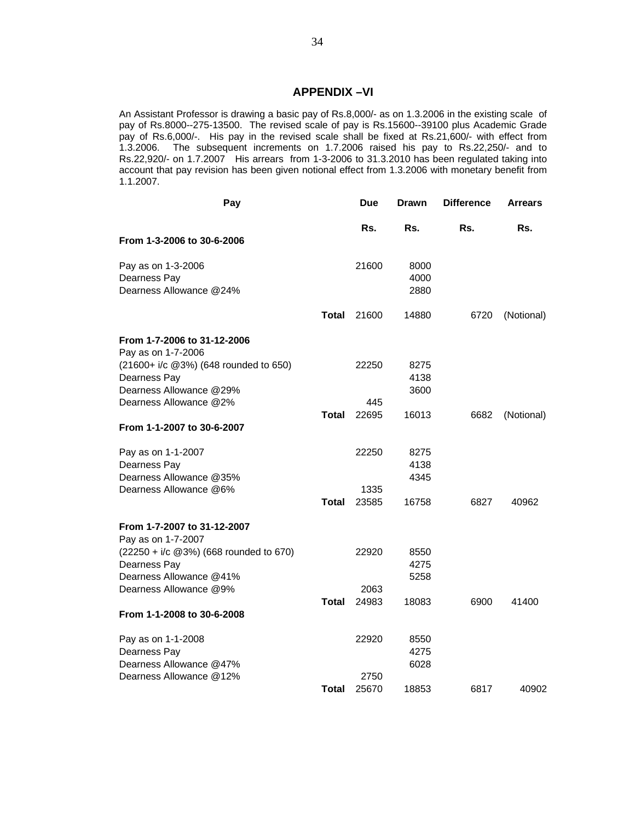#### **APPENDIX –VI**

An Assistant Professor is drawing a basic pay of Rs.8,000/- as on 1.3.2006 in the existing scale of pay of Rs.8000--275-13500. The revised scale of pay is Rs.15600--39100 plus Academic Grade pay of Rs.6,000/-. His pay in the revised scale shall be fixed at Rs.21,600/- with effect from 1.3.2006. The subsequent increments on 1.7.2006 raised his pay to Rs.22,250/- and to Rs.22,920/- on 1.7.2007 His arrears from 1-3-2006 to 31.3.2010 has been regulated taking into account that pay revision has been given notional effect from 1.3.2006 with monetary benefit from 1.1.2007.

| Pay                                         |              | <b>Due</b> | <b>Drawn</b> | <b>Difference</b> | <b>Arrears</b> |
|---------------------------------------------|--------------|------------|--------------|-------------------|----------------|
|                                             |              | Rs.        | Rs.          | Rs.               | Rs.            |
| From 1-3-2006 to 30-6-2006                  |              |            |              |                   |                |
| Pay as on 1-3-2006                          |              | 21600      | 8000         |                   |                |
| Dearness Pay                                |              |            | 4000         |                   |                |
| Dearness Allowance @24%                     |              |            | 2880         |                   |                |
|                                             | Total        | 21600      | 14880        | 6720              | (Notional)     |
| From 1-7-2006 to 31-12-2006                 |              |            |              |                   |                |
| Pay as on 1-7-2006                          |              |            |              |                   |                |
| (21600+ i/c @3%) (648 rounded to 650)       |              | 22250      | 8275         |                   |                |
| Dearness Pay                                |              |            | 4138         |                   |                |
| Dearness Allowance @29%                     |              |            | 3600         |                   |                |
| Dearness Allowance @2%                      |              | 445        |              |                   |                |
|                                             | <b>Total</b> | 22695      | 16013        | 6682              | (Notional)     |
| From 1-1-2007 to 30-6-2007                  |              |            |              |                   |                |
| Pay as on 1-1-2007                          |              | 22250      | 8275         |                   |                |
| Dearness Pay                                |              |            | 4138         |                   |                |
| Dearness Allowance @35%                     |              |            | 4345         |                   |                |
| Dearness Allowance @6%                      |              | 1335       |              |                   |                |
|                                             | Total        | 23585      | 16758        | 6827              | 40962          |
| From 1-7-2007 to 31-12-2007                 |              |            |              |                   |                |
| Pay as on 1-7-2007                          |              |            |              |                   |                |
| $(22250 + i/c \ @3\%)$ (668 rounded to 670) |              | 22920      | 8550         |                   |                |
| Dearness Pay                                |              |            | 4275         |                   |                |
| Dearness Allowance @41%                     |              |            | 5258         |                   |                |
| Dearness Allowance @9%                      |              | 2063       |              |                   |                |
|                                             | <b>Total</b> | 24983      | 18083        | 6900              | 41400          |
| From 1-1-2008 to 30-6-2008                  |              |            |              |                   |                |
| Pay as on 1-1-2008                          |              | 22920      | 8550         |                   |                |
| Dearness Pay                                |              |            | 4275         |                   |                |
| Dearness Allowance @47%                     |              |            | 6028         |                   |                |
| Dearness Allowance @12%                     |              | 2750       |              |                   |                |
|                                             | Total        | 25670      | 18853        | 6817              | 40902          |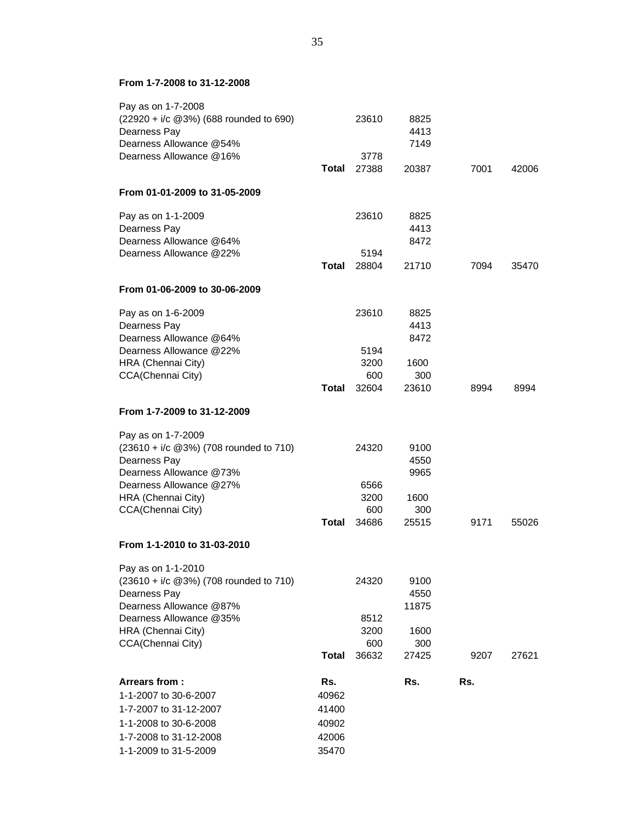#### **From 1-7-2008 to 31-12-2008**

| Pay as on 1-7-2008<br>$(22920 + i/c \ @3\%)$ (688 rounded to 690)<br>Dearness Pay<br>Dearness Allowance @54%                                                                       |                                                  | 23610                                 | 8825<br>4413<br>7149                          |      |       |
|------------------------------------------------------------------------------------------------------------------------------------------------------------------------------------|--------------------------------------------------|---------------------------------------|-----------------------------------------------|------|-------|
| Dearness Allowance @16%                                                                                                                                                            | Total                                            | 3778<br>27388                         | 20387                                         | 7001 | 42006 |
| From 01-01-2009 to 31-05-2009                                                                                                                                                      |                                                  |                                       |                                               |      |       |
| Pay as on 1-1-2009<br>Dearness Pay<br>Dearness Allowance @64%<br>Dearness Allowance @22%                                                                                           |                                                  | 23610<br>5194                         | 8825<br>4413<br>8472                          |      |       |
|                                                                                                                                                                                    | <b>Total</b>                                     | 28804                                 | 21710                                         | 7094 | 35470 |
| From 01-06-2009 to 30-06-2009                                                                                                                                                      |                                                  |                                       |                                               |      |       |
| Pay as on 1-6-2009<br>Dearness Pay<br>Dearness Allowance @64%<br>Dearness Allowance @22%<br>HRA (Chennai City)                                                                     |                                                  | 23610<br>5194<br>3200                 | 8825<br>4413<br>8472<br>1600                  |      |       |
| CCA(Chennai City)                                                                                                                                                                  | Total                                            | 600<br>32604                          | 300<br>23610                                  | 8994 | 8994  |
| From 1-7-2009 to 31-12-2009                                                                                                                                                        |                                                  |                                       |                                               |      |       |
| Pay as on 1-7-2009<br>$(23610 + i/c \ @3\%)$ (708 rounded to 710)<br>Dearness Pay<br>Dearness Allowance @73%<br>Dearness Allowance @27%<br>HRA (Chennai City)<br>CCA(Chennai City) |                                                  | 24320<br>6566<br>3200<br>600          | 9100<br>4550<br>9965<br>1600<br>300           |      |       |
|                                                                                                                                                                                    | Total                                            | 34686                                 | 25515                                         | 9171 | 55026 |
| From 1-1-2010 to 31-03-2010                                                                                                                                                        |                                                  |                                       |                                               |      |       |
| Pay as on 1-1-2010<br>(23610 + i/c @3%) (708 rounded to 710)<br>Dearness Pay<br>Dearness Allowance @87%<br>Dearness Allowance @35%<br>HRA (Chennai City)<br>CCA(Chennai City)      | <b>Total</b>                                     | 24320<br>8512<br>3200<br>600<br>36632 | 9100<br>4550<br>11875<br>1600<br>300<br>27425 | 9207 | 27621 |
| Arrears from:<br>1-1-2007 to 30-6-2007<br>1-7-2007 to 31-12-2007<br>1-1-2008 to 30-6-2008<br>1-7-2008 to 31-12-2008<br>1-1-2009 to 31-5-2009                                       | Rs.<br>40962<br>41400<br>40902<br>42006<br>35470 |                                       | Rs.                                           | Rs.  |       |